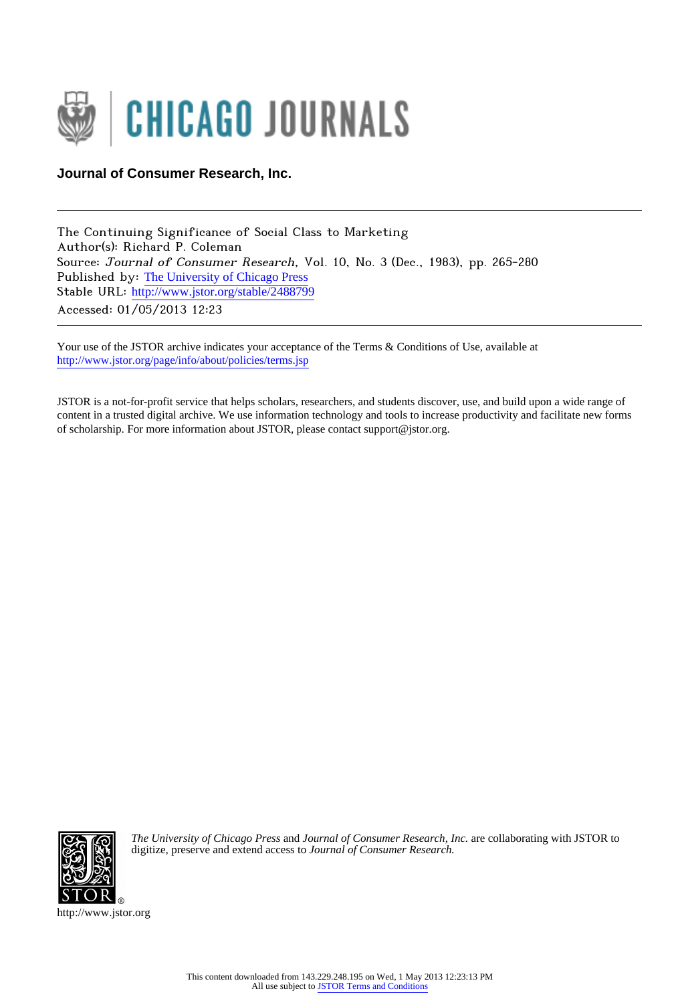

# **Journal of Consumer Research, Inc.**

The Continuing Significance of Social Class to Marketing Author(s): Richard P. Coleman Source: Journal of Consumer Research, Vol. 10, No. 3 (Dec., 1983), pp. 265-280 Published by: [The University of Chicago Press](http://www.jstor.org/action/showPublisher?publisherCode=ucpress) Stable URL: [http://www.jstor.org/stable/2488799](http://www.jstor.org/stable/2488799?origin=JSTOR-pdf) Accessed: 01/05/2013 12:23

Your use of the JSTOR archive indicates your acceptance of the Terms & Conditions of Use, available at <http://www.jstor.org/page/info/about/policies/terms.jsp>

JSTOR is a not-for-profit service that helps scholars, researchers, and students discover, use, and build upon a wide range of content in a trusted digital archive. We use information technology and tools to increase productivity and facilitate new forms of scholarship. For more information about JSTOR, please contact support@jstor.org.



*The University of Chicago Press* and *Journal of Consumer Research, Inc.* are collaborating with JSTOR to digitize, preserve and extend access to *Journal of Consumer Research.*

http://www.jstor.org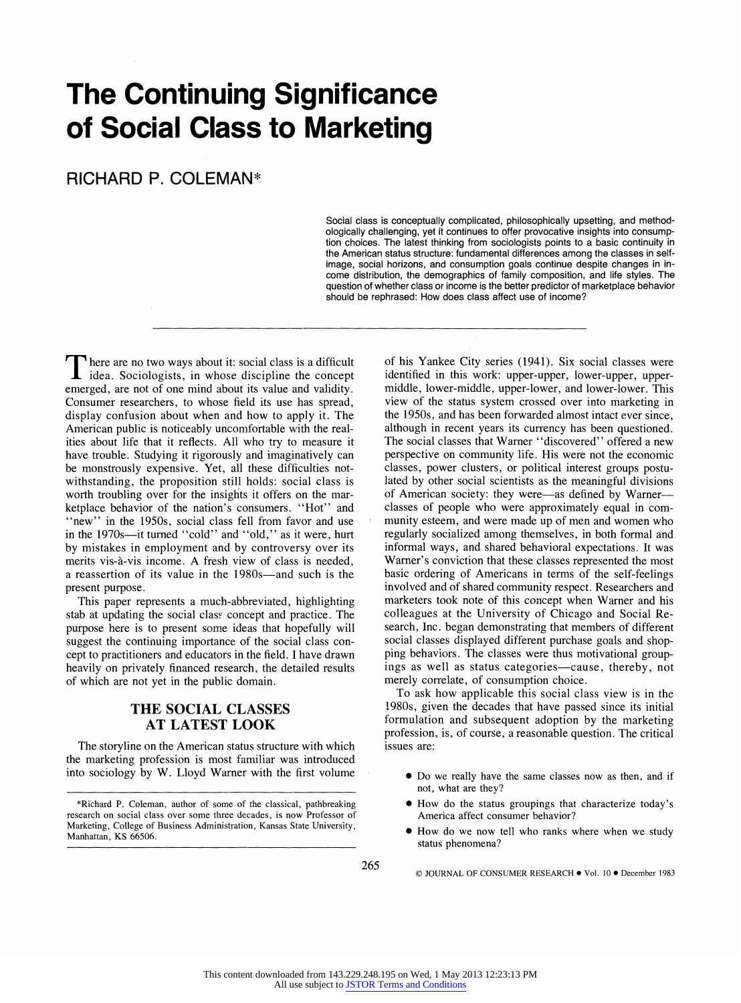# **The Continuing Significance of Social Class to Marketing**

**RICHARD P. COLEMAN\*** 

**Social class is conceptually complicated, philosophically upsetting, and methodologically challenging, yet it continues to offer provocative insights into consumption choices. The latest thinking from sociologists points to a basic continuity in the American status structure: fundamental differences among the classes in selfimage, social horizons, and consumption goals continue despite changes in income distribution, the demographics of family composition, and life styles. The question of whether class or income is the better predictor of marketplace behavior should be rephrased: How does class affect use of income?** 

**<sup>T</sup>here are no two ways about it: social class is a difficult idea. Sociologists, in whose discipline the concept emerged, are not of one mind about its value and validity. Consumer researchers, to whose field its use has spread, display confusion about when and how to apply it. The American public is noticeably uncomfortable with the realities about life that it reflects. All who try to measure it have trouble. Studying it rigorously and imaginatively can**  be monstrously expensive. Yet, all these difficulties not**withstanding, the proposition still holds: social class is worth troubling over for the insights it offers on the marketplace behavior of the nation's consumers. "Hot" and "new" in the 1950s, social class fell from favor and use**  in the 1970s-it turned "cold" and "old," as it were, hurt **by mistakes in employment and by controversy over its**  merits vis-à-vis income. A fresh view of class is needed, a reassertion of its value in the 1980s-and such is the **present purpose.** 

**This paper represents a much-abbreviated, highlighting stab at updating the social class concept and practice. The purpose here is to present some ideas that hopefully will suggest the continuing importance of the social class concept to practitioners and educators in the field. I have drawn heavily on privately financed research, the detailed results of which are not yet in the public domain.** 

## **THE SOCIAL CLASSES AT LATEST LOOK**

**The storyline on the American status structure with which the marketing profession is most familiar was introduced into sociology by W. Lloyd Warner with the first volume** 

**of his Yankee City series (1941). Six social classes were identified in this work: upper-upper, lower-upper, uppermiddle, lower-middle, upper-lower, and lower-lower. This view of the status system crossed over into marketing in the 1950s, and has been forwarded almost intact ever since, although in recent years its currency has been questioned. The social classes that Warner "discovered" offered a new perspective on community life. His were not the economic classes, power clusters, or political interest groups postulated by other social scientists as the meaningful divisions**  of American society: they were—as defined by Warner**classes of people who were approximately equal in community esteem, and were made up of men and women who regularly socialized among themselves, in both formal and informal ways, and shared behavioral expectations. It was Warner's conviction that these classes represented the most basic ordering of Americans in terms of the self-feelings involved and of shared community respect. Researchers and marketers took note of this concept when Warner and his colleagues at the University of Chicago and Social Research, Inc. began demonstrating that members of different social classes displayed different purchase goals and shopping behaviors. The classes were thus motivational groupings as well as status categories-cause, thereby, not merely correlate, of consumption choice.** 

**To ask how applicable this social class view is in the 1980s, given the decades that have passed since its initial formulation and subsequent adoption by the marketing profession, is, of course, a reasonable question. The critical issues are:** 

- **\* Do we really have the same classes now as then, and if not, what are they?**
- **\* How do the status groupings that characterize today's America affect consumer behavior?**
- **\* How do we now tell who ranks where when we study**  status phenomena?

**265** 

**C JOURNAL OF CONSUMER RESEARCH 0 Vol. 10 0 December 1983** 

**<sup>\*</sup>Richard P. Coleman, author of some of the classical, pathbreaking research on social class over some three decades, is now Professor of Marketing, College of Business Administration, Kansas State University, Manhattan, KS 66506.**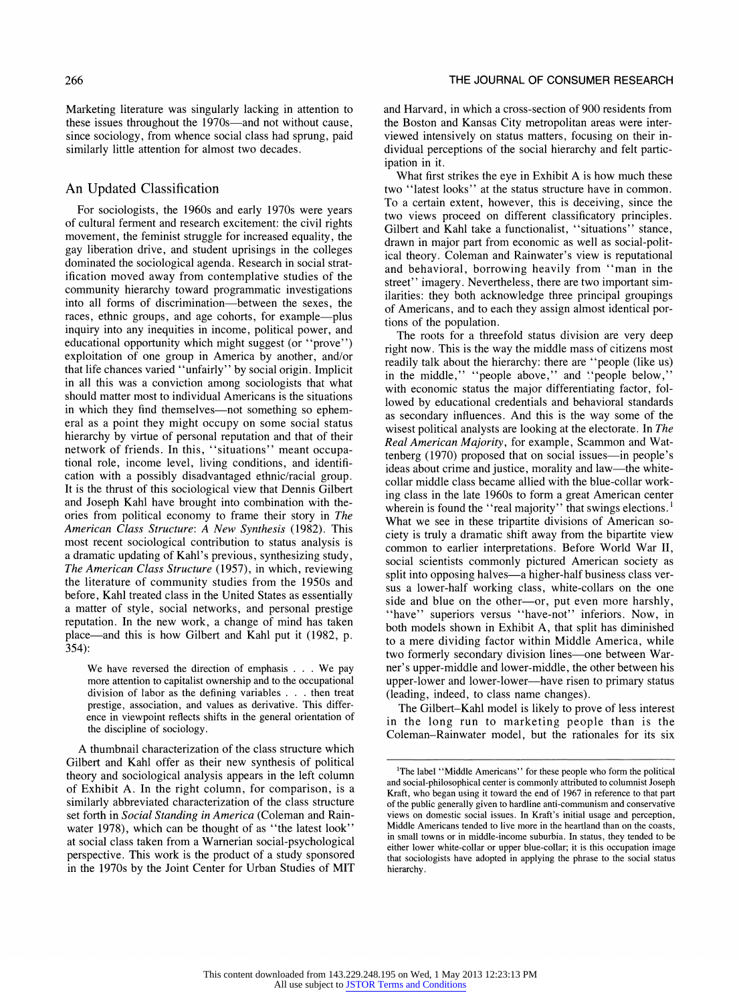**Marketing literature was singularly lacking in attention to**  these issues throughout the 1970s—and not without cause, **since sociology, from whence social class had sprung, paid similarly little attention for almost two decades.** 

## **An Updated Classification**

**For sociologists, the 1960s and early 1970s were years of cultural ferment and research excitement: the civil rights movement, the feminist struggle for increased equality, the gay liberation drive, and student uprisings in the colleges dominated the sociological agenda. Research in social stratification moved away from contemplative studies of the community hierarchy toward programmatic investigations**  into all forms of discrimination—between the sexes, the races, ethnic groups, and age cohorts, for example—plus **inquiry into any inequities in income, political power, and educational opportunity which might suggest (or "prove") exploitation of one group in America by another, and/or that life chances varied "unfairly" by social origin. Implicit in all this was a conviction among sociologists that what should matter most to individual Americans is the situations**  in which they find themselves—not something so ephem**eral as a point they might occupy on some social status hierarchy by virtue of personal reputation and that of their network of friends. In this, "situations" meant occupational role, income level, living conditions, and identification with a possibly disadvantaged ethnic/racial group. It is the thrust of this sociological view that Dennis Gilbert and Joseph Kahl have brought into combination with theories from political economy to frame their story in The American Class Structure: A New Synthesis (1982). This most recent sociological contribution to status analysis is a dramatic updating of Kahl's previous, synthesizing study, The American Class Structure (1957), in which, reviewing the literature of community studies from the 1950s and before, Kahl treated class in the United States as essentially a matter of style, social networks, and personal prestige reputation. In the new work, a change of mind has taken place-and this is how Gilbert and Kahl put it (1982, p. 354):** 

**We have reversed the direction of emphasis . . . We pay more attention to capitalist ownership and to the occupational division of labor as the defining variables . . . then treat prestige, association, and values as derivative. This difference in viewpoint reflects shifts in the general orientation of the discipline of sociology.** 

**A thumbnail characterization of the class structure which Gilbert and Kahl offer as their new synthesis of political theory and sociological analysis appears in the left column of Exhibit A. In the right column, for comparison, is a similarly abbreviated characterization of the class structure set forth in Social Standing in America (Coleman and Rainwater 1978), which can be thought of as "the latest look" at social class taken from a Wamerian social-psychological perspective. This work is the product of a study sponsored in the 1970s by the Joint Center for Urban Studies of MIT**  **and Harvard, in which a cross-section of 900 residents from the Boston and Kansas City metropolitan areas were interviewed intensively on status matters, focusing on their individual perceptions of the social hierarchy and felt participation in it.** 

**What first strikes the eye in Exhibit A is how much these two "latest looks" at the status structure have in common. To a certain extent, however, this is deceiving, since the two views proceed on different classificatory principles. Gilbert and Kahl take a functionalist, "situations" stance, drawn in major part from economic as well as social-political theory. Coleman and Rainwater's view is reputational and behavioral, borrowing heavily from "man in the**  street" imagery. Nevertheless, there are two important sim**ilarities: they both acknowledge three principal groupings of Americans, and to each they assign almost identical portions of the population.** 

**The roots for a threefold status division are very deep right now. This is the way the middle mass of citizens most readily talk about the hierarchy: there are "people (like us) in the middle," "people above," and 'people below," with economic status the major differentiating factor, followed by educational credentials and behavioral standards as secondary influences. And this is the way some of the wisest political analysts are looking at the electorate. In The Real American Majority, for example, Scammon and Wat**tenberg (1970) proposed that on social issues—in people's ideas about crime and justice, morality and law—the white**collar middle class became allied with the blue-collar working class in the late 1960s to form a great American center**  wherein is found the "real majority" that swings elections.<sup>1</sup> **What we see in these tripartite divisions of American society is truly a dramatic shift away from the bipartite view common to earlier interpretations. Before World War II, social scientists commonly pictured American society as**  split into opposing halves-a higher-half business class ver**sus a lower-half working class, white-collars on the one**  side and blue on the other---or, put even more harshly, "have" superiors versus "have-not" inferiors. Now, in **both models shown in Exhibit A, that split has diminished to a mere dividing factor within Middle America, while**  two formerly secondary division lines—one between War**ner's upper-middle and lower-middle, the other between his upper-lower and lower-lower-have risen to primary status (leading, indeed, to class name changes).** 

**The Gilbert-Kahl model is likely to prove of less interest in the long run to marketing people than is the Coleman-Rainwater model, but the rationales for its six** 

**<sup>&#</sup>x27;The label "Middle Americans" for these people who form the political and social-philosophical center is commonly attributed to columnist Joseph Kraft, who began using it toward the end of 1967 in reference to that part of the public generally given to hardline anti-communism and conservative views on domestic social issues. In Kraft's initial usage and perception, Middle Americans tended to live more in the heartland than on the coasts, in small towns or in middle-income suburbia. In status, they tended to be either lower white-collar or upper blue-collar; it is this occupation image that sociologists have adopted in applying the phrase to the social status hierarchy.**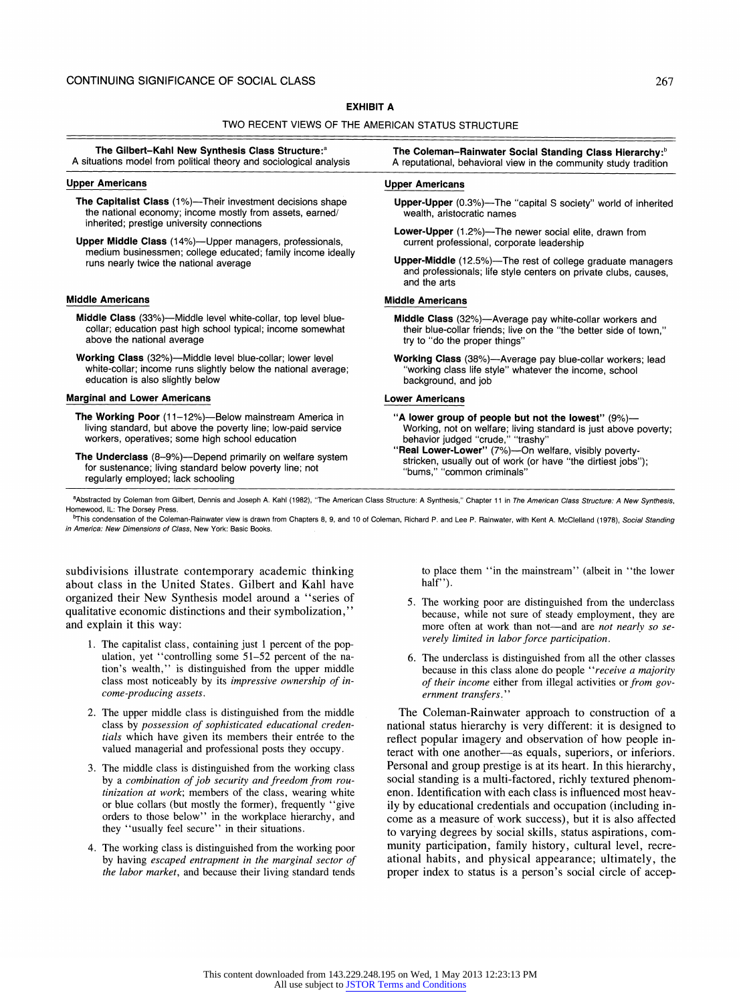#### **EXHIBIT A**

#### **TWO RECENT VIEWS OF THE AMERICAN STATUS STRUCTURE**

| The Gilbert-Kahl New Synthesis Class Structure: <sup>3</sup>                                                                                                                                                                                                                                                                                    | The Coleman-Rainwater Social Standing Class Hierarchy: <sup>b</sup>                                                                                                                           |  |
|-------------------------------------------------------------------------------------------------------------------------------------------------------------------------------------------------------------------------------------------------------------------------------------------------------------------------------------------------|-----------------------------------------------------------------------------------------------------------------------------------------------------------------------------------------------|--|
| A situations model from political theory and sociological analysis                                                                                                                                                                                                                                                                              | A reputational, behavioral view in the community study tradition                                                                                                                              |  |
| <b>Upper Americans</b>                                                                                                                                                                                                                                                                                                                          | <b>Upper Americans</b>                                                                                                                                                                        |  |
| <b>The Capitalist Class</b> (1%)—Their investment decisions shape<br>the national economy; income mostly from assets, earned/<br>inherited; prestige university connections<br>Upper Middle Class (14%)—Upper managers, professionals,<br>medium businessmen; college educated, family income ideally<br>runs nearly twice the national average | <b>Upper-Upper</b> (0.3%)—The "capital S society" world of inherited<br>wealth, aristocratic names                                                                                            |  |
|                                                                                                                                                                                                                                                                                                                                                 | Lower-Upper (1.2%)-The newer social elite, drawn from<br>current professional, corporate leadership                                                                                           |  |
|                                                                                                                                                                                                                                                                                                                                                 | Upper-Middle (12.5%)-The rest of college graduate managers<br>and professionals; life style centers on private clubs, causes,<br>and the arts                                                 |  |
| <b>Middle Americans</b>                                                                                                                                                                                                                                                                                                                         | <b>Middle Americans</b>                                                                                                                                                                       |  |
| Middle Class (33%)—Middle level white-collar, top level blue-                                                                                                                                                                                                                                                                                   | Middle Class (32%)-Average pay white-collar workers and                                                                                                                                       |  |
| collar; education past high school typical; income somewhat                                                                                                                                                                                                                                                                                     | their blue-collar friends; live on the "the better side of town,"                                                                                                                             |  |
| above the national average                                                                                                                                                                                                                                                                                                                      | try to "do the proper things"                                                                                                                                                                 |  |
| Working Class (32%)—Middle level blue-collar; lower level                                                                                                                                                                                                                                                                                       | Working Class (38%)-Average pay blue-collar workers; lead                                                                                                                                     |  |
| white-collar; income runs slightly below the national average;                                                                                                                                                                                                                                                                                  | "working class life style" whatever the income, school                                                                                                                                        |  |
| education is also slightly below                                                                                                                                                                                                                                                                                                                | background, and job                                                                                                                                                                           |  |
| <b>Marginal and Lower Americans</b>                                                                                                                                                                                                                                                                                                             | <b>Lower Americans</b>                                                                                                                                                                        |  |
| The Working Poor (11-12%)-Below mainstream America in                                                                                                                                                                                                                                                                                           | "A lower group of people but not the lowest" (9%)-                                                                                                                                            |  |
| living standard, but above the poverty line; low-paid service                                                                                                                                                                                                                                                                                   | Working, not on welfare; living standard is just above poverty;                                                                                                                               |  |
| workers, operatives; some high school education                                                                                                                                                                                                                                                                                                 | behavior judged "crude," "trashy"                                                                                                                                                             |  |
| <b>The Underclass</b> (8-9%)—Depend primarily on welfare system                                                                                                                                                                                                                                                                                 | "Real Lower-Lower" (7%)-On welfare, visibly poverty-                                                                                                                                          |  |
| for sustenance; living standard below poverty line; not                                                                                                                                                                                                                                                                                         | stricken, usually out of work (or have "the dirtiest jobs");                                                                                                                                  |  |
| regularly employed; lack schooling                                                                                                                                                                                                                                                                                                              | "bums," "common criminals"                                                                                                                                                                    |  |
| Homewood, IL: The Dorsey Press.                                                                                                                                                                                                                                                                                                                 | aAbstracted by Coleman from Gilbert, Dennis and Joseph A. Kahl (1982), "The American Class Structure: A Synthesis," Chapter 11 in The American Class Structure: A New Synthesis,              |  |
| in America: New Dimensions of Class, New York: Basic Books.                                                                                                                                                                                                                                                                                     | <sup>b</sup> This condensation of the Coleman-Rainwater view is drawn from Chapters 8, 9, and 10 of Coleman, Richard P. and Lee P. Rainwater, with Kent A. McClelland (1978), Social Standing |  |

**subdivisions illustrate contemporary academic thinking about class in the United States. Gilbert and Kahl have organized their New Synthesis model around a "series of qualitative economic distinctions and their symbolization," and explain it this way:** 

- **1. The capitalist class, containing just 1 percent of the population, yet "controlling some 51-52 percent of the nation's wealth," is distinguished from the upper middle class most noticeably by its impressive ownership of income-producing assets.**
- **2. The upper middle class is distinguished from the middle class by possession of sophisticated educational creden**tials which have given its members their entrée to the **valued managerial and professional posts they occupy.**
- **3. The middle class is distinguished from the working class by a combination of job security and freedom from routinization at work; members of the class, wearing white or blue collars (but mostly the former), frequently "give orders to those below" in the workplace hierarchy, and they "usually feel secure" in their situations.**
- **4. The working class is distinguished from the working poor by having escaped entrapment in the marginal sector of the labor market, and because their living standard tends**

**to place them "in the mainstream" (albeit in "the lower half").** 

- **5. The working poor are distinguished from the underclass because, while not sure of steady employment, they are**  more often at work than not-and are *not nearly so se***verely limited in labor force participation.**
- **6. The underclass is distinguished from all the other classes because in this class alone do people "receive a majority**  of their income either from illegal activities or from gov**ernment transfers."**

**The Coleman-Rainwater approach to construction of a national status hierarchy is very different: it is designed to reflect popular imagery and observation of how people interact with one another-as equals, superiors, or inferiors. Personal and group prestige is at its heart. In this hierarchy, social standing is a multi-factored, richly textured phenomenon. Identification with each class is influenced most heavily by educational credentials and occupation (including income as a measure of work success), but it is also affected to varying degrees by social skills, status aspirations, community participation, family history, cultural level, recreational habits, and physical appearance; ultimately, the proper index to status is a person's social circle of accep-**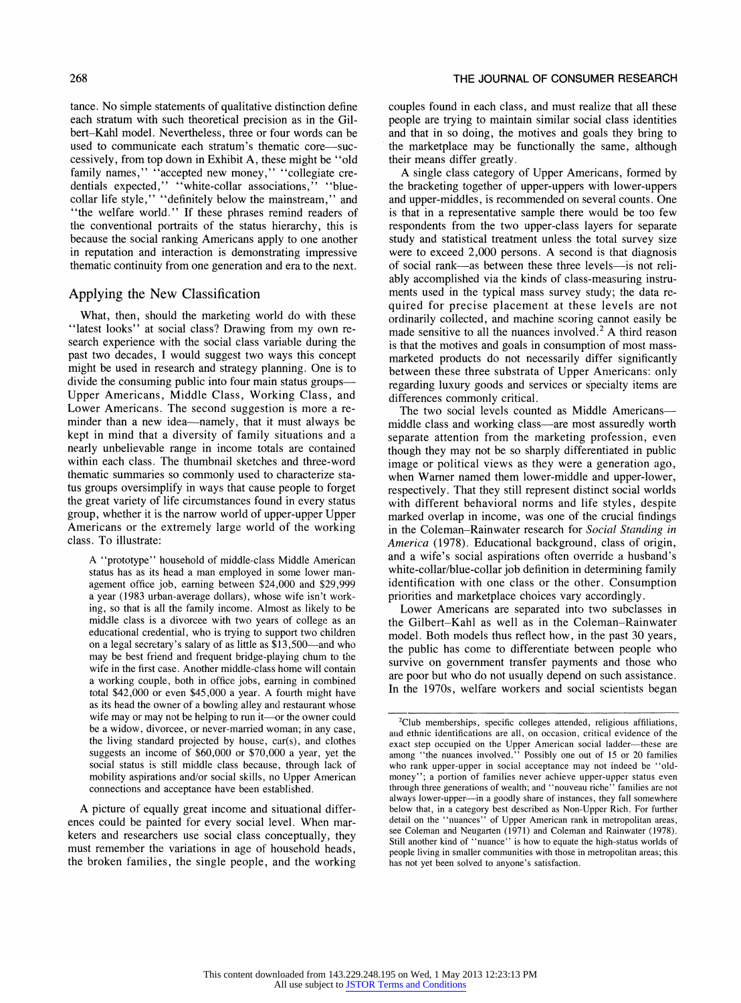**tance. No simple statements of qualitative distinction define each stratum with such theoretical precision as in the Gilbert-Kahl model. Nevertheless, three or four words can be**  used to communicate each stratum's thematic core—suc**cessively, from top down in Exhibit A, these might be "old**  family names," "accepted new money," "collegiate cre**dentials expected," "white-collar associations," "bluecollar life style," "definitely below the mainstrearn," and "the welfare world." If these phrases remind readers of the conventional portraits of the status hierarchy, this is because the social ranking Americans apply to one another in reputation and interaction is demonstrating impressive thematic continuity from one generation and era to the next.** 

## **Applying the New Classification**

**What, then, should the marketing world do with these "latest looks" at social class? Drawing from my own research experience with the social class variable during the past two decades, I would suggest two ways this concept might be used in research and strategy planning. One is to**  divide the consuming public into four main status groups— **Upper Americans, Middle Class, Working Class, and Lower Americans. The second suggestion is more a re**minder than a new idea-namely, that it must always be **kept in mind that a diversity of family situations and a nearly unbelievable range in income totals are contained within each class. The thumbnail sketches and three-word thematic summaries so commonly used to characterize status groups oversimplify in ways that cause people to forget the great variety of life circumstances found in every status group, whether it is the narrow world of upper-upper Upper Americans or the extremely large world of the working class. To illustrate:** 

**A "prototype" household of middle-class Middle American status has as its head a man employed in some lower management office job, earning between \$24,000 and \$29,999 a year (1983 urban-average dollars), whose wife isn't working, so that is all the family income. Almost as likely to be middle class is a divorcee with two years of college as an educational credential, who is trying to support two children on a legal secretary's salary of as little as \$13,500-and who may be best friend and frequent bridge-playing chum to the wife in the first case. Another middle-class home will contain a working couple, both in office jobs, earning in combined total \$42,000 or even \$45,000 a year. A fourth might have as its head the owner of a bowling alley and restaurant whose**  wife may or may not be helping to run it-or the owner could be a widow, divorcee, or never-married woman; in any case, **the living standard projected by house, car(s), and clothes suggests an income of \$60,000 or \$70,000 a year, yet the social status is still middle class because, through lack of mobility aspirations and/or social skills, no Upper American connections and acceptance have been established.** 

**A picture of equally great income and situational differences could be painted for every social level. When marketers and researchers use social class conceptually, they must remember the variations in age of household heads, the broken families, the single people, and the working**  **couples found in each class, and must realize that all these people are trying to maintain similar social class identities and that in so doing, the motives and goals they bring to the marketplace may be functionally the same, although their means differ greatly.** 

**A single class category of Upper Americans, formed by the bracketing together of upper-uppers with lower-uppers and upper-middles, is recommended on several counts. One is that in a representative sample there would be too few respondents from the two upper-class layers for separate study and statistical treatment unless the total survey size were to exceed 2,000 persons. A second is that diagnosis of social rank-as between these three levels-is not reliably accomplished via the kinds of class-measuring instruments used in the typical mass survey study; the data required for precise placement at these levels are not ordinarily collected, and machine scoring cannot easily be made sensitive to all the nuances involved.2 A third reason is that the motives and goals in consumption of most massmarketed products do not necessarily differ significantly between these three substrata of Upper Americans: only regarding luxury goods and services or specialty items are differences commonly critical.** 

**The two social levels counted as Middle Americansmiddle class and working class-are most assuredly worth separate attention from the marketing profession, even though they may not be so sharply differentiated in public image or political views as they were a generation ago, when Warner named them lower-middle and upper-lower, respectively. That they still represent distinct social worlds with different behavioral norms and life styles, despite marked overlap in income, was one of the crucial findings in the Coleman-Rainwater research for Social Standing in America (1978). Educational background, class of origin, and a wife's social aspirations often override a husband's white-collar/blue-collar job definition in determining family identification with one class or the other. Consumption priorities and marketplace choices vary accordingly.** 

**Lower Americans are separated into two subclasses in the Gilbert-Kahl as well as in the Coleman-Rainwater model. Both models thus reflect how, in the past 30 years, the public has come to differentiate between people who survive on government transfer payments and those who are poor but who do not usually depend on such assistance. In the 1970s, welfare workers and social scientists began** 

**<sup>2</sup>Club memberships, specific colleges attended, religious affiliations, and ethnic identifications are all, on occasion, critical evidence of the**  exact step occupied on the Upper American social ladder-these are **among "the nuances involved." Possibly one out of 15 or 20 families**  who rank upper-upper in social acceptance may not indeed be "old**money"; a portion of families never achieve upper-upper status even through three generations of wealth; and "nouveau riche" families are not always lower-upper-in a goodly share of instances, they fall somewhere below that, in a category best described as Non-Upper Rich. For further detail on the "nuances" of Upper American rank in metropolitan areas, see Coleman and Neugarten (1971) and Coleman and Rainwater (1978). Still another kind of "nuance" is how to equate the high-status worlds of people living in smaller communities with those in metropolitan areas; this has not yet been solved to anyone's satisfaction.**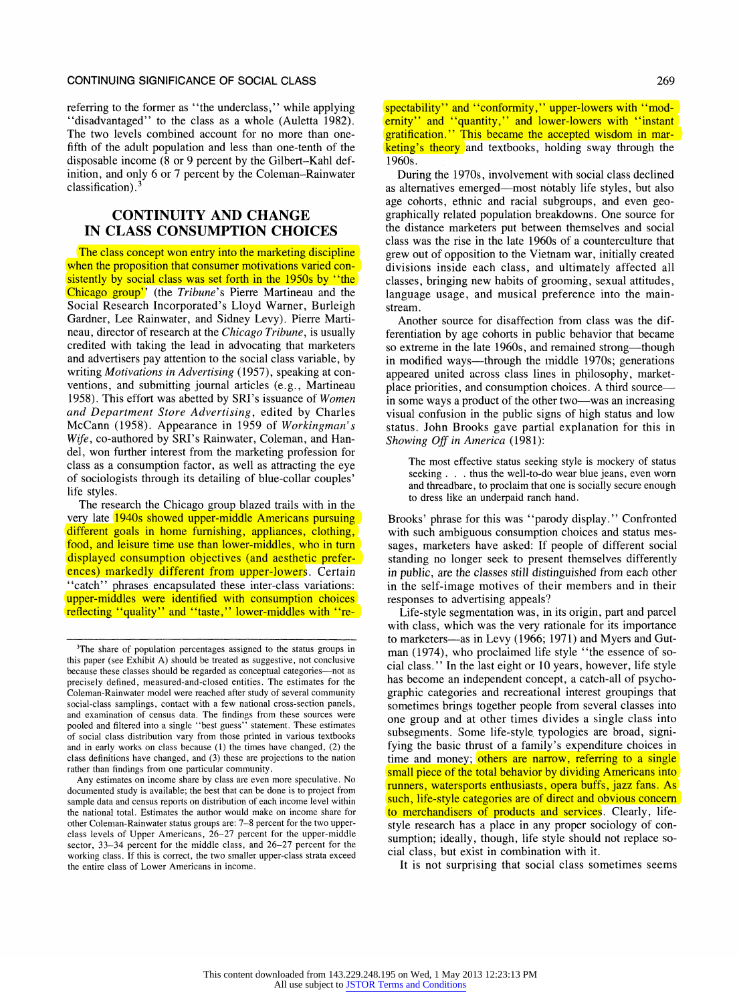**referring to the former as "the underclass," while applying "disadvantaged" to the class as a whole (Auletta 1982). The two levels combined account for no more than onefifth of the adult population and less than one-tenth of the disposable income (8 or 9 percent by the Gilbert-Kahl definition, and only 6 or 7 percent by the Coleman-Rainwater classification) .3** 

## **CONTINUITY AND CHANGE IN CLASS CONSUMPTION CHOICES**

**The class concept won entry into the marketing discipline when the proposition that consumer motivations varied consistently by social class was set forth in the 1950s by "the Chicago group" (the Tribune's Pierre Martineau and the Social Research Incorporated's Lloyd Warner, Burleigh Gardner, Lee Rainwater, and Sidney Levy). Pierre Martineau, director of research at the Chicago Tribune, is usually credited with taking the lead in advocating that marketers and advertisers pay attention to the social class variable, by writing Motivations in Advertising (1957), speaking at conventions, and submitting journal articles (e.g., Martineau 1958). This effort was abetted by SRI's issuance of Women and Department Store Advertising, edited by Charles McCann (1958). Appearance in 1959 of Workingman's Wife, co-authored by SRI's Rainwater, Coleman, and Handel, won further interest from the marketing profession for class as a consumption factor, as well as attracting the eye of sociologists through its detailing of blue-collar couples' life styles.** 

**The research the Chicago group blazed trails with in the very late 1940s showed upper-middle Americans pursuing different goals in home furnishing, appliances, clothing, food, and leisure time use than lower-middles, who in turn displayed consumption objectives (and aesthetic preferences) markedly different from upper-lowers. Certain "catch" phrases encapsulated these inter-class variations: upper-middles were identified with consumption choices reflecting "quality" and "taste," lower-middles with "re-** spectability" and "conformity," upper-lowers with "mod**ernity" and "quantity," and lower-lowers with "instant gratification." This became the accepted wisdom in marketing's theory and textbooks, holding sway through the 1960s.** 

**During the 1970s, involvement with social class declined as alternatives emerged-most notably life styles, but also age cohorts, ethnic and racial subgroups, and even geographically related population breakdowns. One source for the distance marketers put between themselves and social class was the rise in the late 1960s of a counterculture that grew out of opposition to the Vietnam war, initially created divisions inside each class, and ultimately affected all classes, bringing new habits of grooming, sexual attitudes, language usage, and musical preference into the mainstream.** 

**Another source for disaffection from class was the differentiation by age cohorts in public behavior that became so extreme in the late 1960s, and remained strong-though in modified ways-through the middle 1970s; generations appeared united across class lines in philosophy, marketplace priorities, and consumption choices. A third source**in some ways a product of the other two—was an increasing **visual confusion in the public signs of high status and low status. John Brooks gave partial explanation for this in Showing Off in America (1981):** 

**The most effective status seeking style is mockery of status seeking . . . thus the well-to-do wear blue jeans, even worn and threadbare, to proclaim that one is socially secure enough to dress like an underpaid ranch hand.** 

**Brooks' phrase for this was "parody display." Confronted with such ambiguous consumption choices and status messages, marketers have asked: If people of different social standing no longer seek to present themselves differently in public, are the classes still distinguished from each other in the self-image motives of their members and in their responses to advertising appeals?** 

**Life-style segmentation was, in its origin, part and parcel with class, which was the very rationale for its importance to marketers-as in Levy (1966; 1971) and Myers and Gutman (1974), who proclaimed life style "the essence of social class." In the last eight or 10 years, however, life style has become an independent concept, a catch-all of psychographic categories and recreational interest groupings that sometimes brings together people from several classes into one group and at other times divides a single class into subsegments. Some life-style, typologies are broad, signifying the basic thrust of a family's expenditure choices in time and money; others are narrow, referring to a single small piece of the total behavior by dividing Americans into runners, watersports enthusiasts, opera buffs, jazz fans. As such, life-style categories are of direct and obvious concern to merchandisers of products and services. Clearly, lifestyle research has a place in any proper sociology of consumption; ideally, though, life style should not replace social class, but exist in combination with it.** 

**It is not surprising that social class sometimes seems** 

**<sup>3</sup>The share of population percentages assigned to the status groups in this paper (see Exhibit A) should be treated as suggestive, not conclusive because these classes should be regarded as conceptual categories-not as precisely defined, measured-and-closed entities. The estimates for the Coleman-Rainwater model were reached after study of several community social-class samplings, contact with a few national cross-section panels, and examination of census data. The findings from these sources were pooled and filtered into a single "best guess" statement. These estimates of social class distribution vary from those printed in various textbooks and in early works on class because (1) the times have changed, (2) the class definitions have changed, and (3) these are projections to the nation rather than findings from one particular community.** 

**Any estimates on income share by class are even more speculative. No documented study is available; the best that can be done is to project from sample data and census reports on distribution of each income level within the national total. Estimates the author would make on income share for other Coleman-Rainwater status groups are: 7-8 percent for the two upperclass levels of Upper Americans, 26-27 percent for the upper-middle sector, 33-34 percent for the middle class, and 26-27 percent for the working class. If this is correct, the two smaller upper-class strata exceed the entire class of Lower Americans in income.**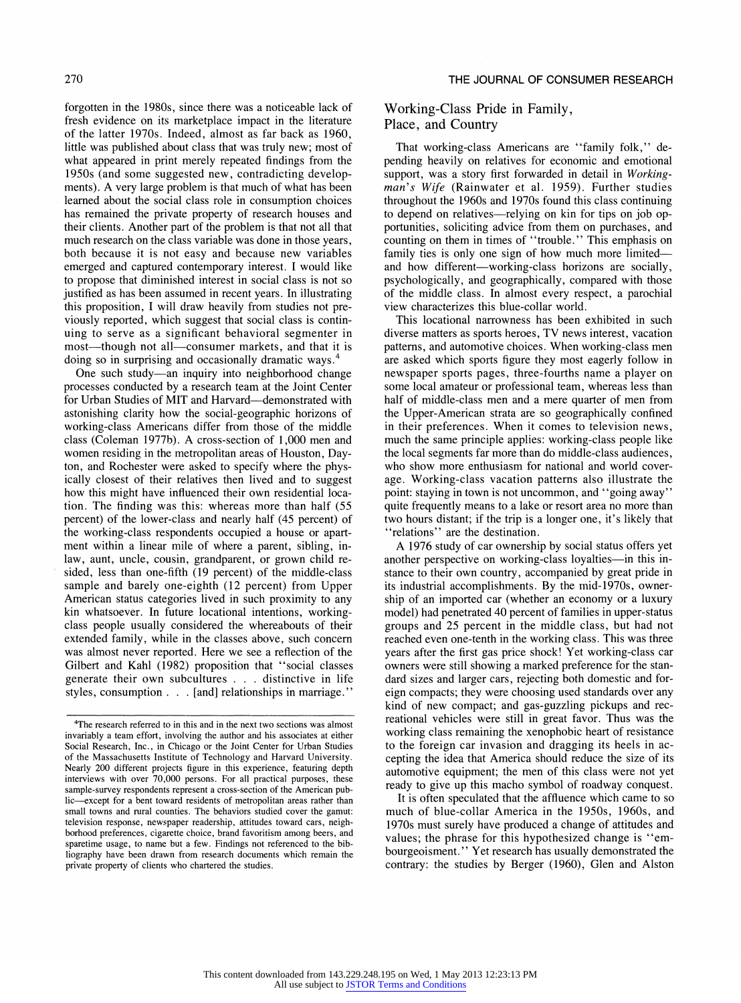**forgotten in the 1980s, since there was a noticeable lack of fresh evidence on its marketplace impact in the literature of the latter 1970s. Indeed, almost as far back as 1960, little was published about class that was truly new; most of what appeared in print merely repeated findings from the 1950s (and some suggested new, contradicting developments). A very large problem is that much of what has been learned about the social class role in consumption choices has remained the private property of research houses and their clients. Another part of the problem is that not all that much research on the class variable was done in those years, both because it is not easy and because new variables emerged and captured contemporary interest. I would like to propose that diminished interest in social class is not so justified as has been assumed in recent years. In illustrating this proposition, I will draw heavily from studies not previously reported, which suggest that social class is continuing to serve as a significant behavioral segmenter in**  most—though not all—consumer markets, and that it is **doing so in surprising and occasionally dramatic ways.4** 

**One such study-an inquiry into neighborhood change processes conducted by a research team at the Joint Center**  for Urban Studies of MIT and Harvard-demonstrated with **astonishing clarity how the social-geographic horizons of working-class Americans differ from those of the middle class (Coleman 1977b). A cross-section of 1,000 men and women residing in the metropolitan areas of Houston, Dayton, and Rochester were asked to specify where the physically closest of their relatives then lived and to suggest how this might have influenced their own residential location. The finding was this: whereas more than half (55 percent) of the lower-class and nearly half (45 percent) of the working-class respondents occupied a house or apartment within a linear mile of where a parent, sibling, inlaw, aunt, uncle, cousin, grandparent, or grown child resided, less than one-fifth (19 percent) of the middle-class sample and barely one-eighth (12 percent) from Upper American status categories lived in such proximity to any kin whatsoever. In future locational intentions, workingclass people usually considered the whereabouts of their extended family, while in the classes above, such concern was almost never reported. Here we see a reflection of the Gilbert and Kahl (1982) proposition that "social classes generate their own subcultures . . . distinctive in life styles, consumption . . . [and] relationships in marriage."** 

## **Working-Class Pride in Family, Place, and Country**

**That working-class Americans are "family folk," depending heavily on relatives for economic and emotional support, was a story first forwarded in detail in Workingman's Wife (Rainwater et al. 1959). Further studies throughout the 1960s and 1970s found this class continuing**  to depend on relatives—relying on kin for tips on job op**portunities, soliciting advice from them on purchases, and counting on them in times of "trouble." This emphasis on family ties is only one sign of how much more limitedand how different-working-class horizons are socially, psychologically, and geographically, compared with those of the middle class. In almost every respect, a parochial view characterizes this blue-collar world.** 

**This locational narrowness has been exhibited in such diverse matters as sports heroes, TV news interest, vacation patterns, and automotive choices. When working-class men are asked which sports figure they most eagerly follow in newspaper sports pages, three-fourths name a player on some local amateur or professional team, whereas less than half of middle-class men and a mere quarter of men from the Upper-American strata are so geographically confined in their preferences. When it comes to television news, much the same principle applies: working-class people like the local segments far more than do middle-class audiences, who show more enthusiasm for national and world coverage. Working-class vacation patterns also illustrate the point: staying in town is not uncommon, and "going away" quite frequently means to a lake or resort area no more than**  two hours distant; if the trip is a longer one, it's likely that **"relations" are the destination.** 

**A 1976 study of car ownership by social status offers yet**  another perspective on working-class loyalties—in this in**stance to their own country, accompanied by great pride in its industrial accomplishments. By the mid-1970s, ownership of an imported car (whether an economy or a luxury model) had penetrated 40 percent of families in upper-status groups and 25 percent in the middle class, but had not reached even one-tenth in the working class. This was three years after the first gas price shock! Yet working-class car owners were still showing a marked preference for the standard sizes and larger cars, rejecting both domestic and foreign compacts; they were choosing used standards over any kind of new compact; and gas-guzzling pickups and recreational vehicles were still in great favor. Thus was the working class remaining the xenophobic heart of resistance to the foreign car invasion and dragging its heels in accepting the idea that America should reduce the size of its automotive equipment; the men of this class were not yet ready to give up this macho symbol of roadway conquest.** 

**It is often speculated that the affluence which came to so much of blue-collar America in the 1950s, 1960s, and 1970s must surely have produced a change of attitudes and values; the phrase for this hypothesized change is "embourgeoisment." Yet research has usually demonstrated the contrary: the studies by Berger (1960), Glen and Alston** 

**<sup>4</sup>The research referred to in this and in the next two sections was almost invariably a team effort, involving the author and his associates at either Social Research, Inc., in Chicago or the Joint Center for Urban Studies of the Massachusetts Institute of Technology and Harvard University. Nearly 200 different projects figure in this experience, featuring depth interviews with over 70,000 persons. For all practical purposes, these sample-survey respondents represent a cross-section of the American public-except for a bent toward residents of metropolitan areas rather than small towns and rural counties. The behaviors studied cover the gamut: television response, newspaper readership, attitudes toward cars, neighborhood preferences, cigarette choice, brand favoritism among beers, and sparetime usage, to name but a few. Findings not referenced to the bibliography have been drawn from research documents which remain the private property of clients who chartered the studies.**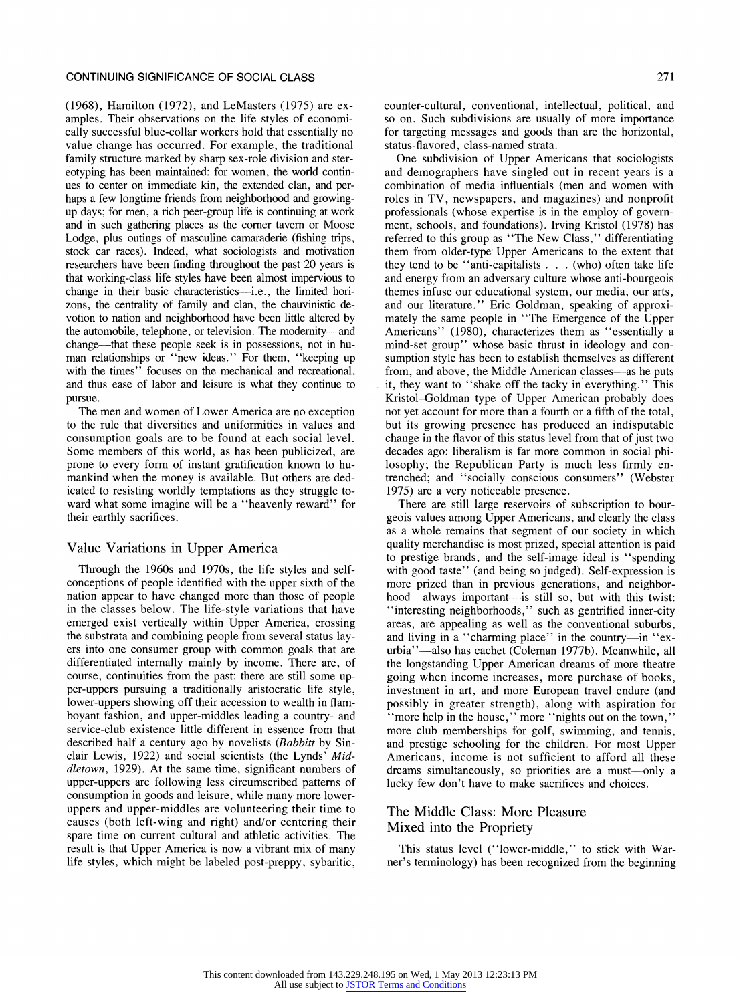**(1968), Hamilton (1972), and LeMasters (1975) are examples. Their observations on the life styles of economically successful blue-collar workers hold that essentially no value change has occurred. For example, the traditional family structure marked by sharp sex-role division and stereotyping has been maintained: for women, the world continues to center on immediate kin, the extended clan, and perhaps a few longtime friends from neighborhood and growingup days; for men, a rich peer-group life is continuing at work and in such gathering places as the corner tavern or Moose Lodge, plus outings of masculine camaraderie (fishing trips, stock car races). Indeed, what sociologists and motivation**  researchers have been finding throughout the past 20 years is **that working-class life styles have been almost impervious to**  change in their basic characteristics—i.e., the limited hori**zons, the centrality of family and clan, the chauvinistic devotion to nation and neighborhood have been little altered by the automobile, telephone, or television. The modernity-and**  change—that these people seek is in possessions, not in hu**man relationships or "new ideas." For them, "keeping up with the times" focuses on the mechanical and recreational, and thus ease of labor and leisure is what they continue to pursue.** 

**The men and women of Lower America are no exception to the rule that diversities and uniformities in values and consumption goals are to be found at each social level. Some members of this world, as has been publicized, are prone to every form of instant gratification known to humankind when the money is available. But others are dedicated to resisting worldly temptations as they struggle toward what some imagine will be a "heavenly reward" for their earthly sacrifices.** 

## **Value Variations in Upper America**

**Through the 1960s and 1970s, the life styles and selfconceptions of people identified with the upper sixth of the nation appear to have changed more than those of people in the classes below. The life-style variations that have emerged exist vertically within Upper America, crossing the substrata and combining people from several status layers into one consumer group with common goals that are differentiated internally mainly by income. There are, of course, continuities from the past: there are still some upper-uppers pursuing a traditionally aristocratic life style, lower-uppers showing off their accession to wealth in flamboyant fashion, and upper-middles leading a country- and service-club existence little different in essence from that described half a century ago by novelists (Babbitt by Sinclair Lewis, 1922) and social scientists (the Lynds' Middletown, 1929). At the same time, significant numbers of upper-uppers are following less circumscribed patterns of consumption in goods and leisure, while many more loweruppers and upper-middles are volunteering their time to causes (both left-wing and right) and/or centering their spare time on current cultural and athletic activities. The result is that Upper America is now a vibrant mix of many life styles, which might be labeled post-preppy, sybaritic,** 

**counter-cultural, conventional, intellectual, political, and so on. Such subdivisions are usually of more importance for targeting messages and goods than are the horizontal, status-flavored, class-named strata.** 

**One subdivision of Upper Americans that sociologists and demographers have singled out in recent years is a combination of media influentials (men and women with roles in TV, newspapers, and magazines) and nonprofit professionals (whose expertise is in the employ of government, schools, and foundations). Irving Kristol (1978) has referred to this group as "The New Class," differentiating them from older-type Upper Americans to the extent that they tend to be "anti-capitalists . . . (who) often take life and energy from an adversary culture whose anti-bourgeois themes infuse our educational system, our media, our arts, and our literature." Eric Goldman, speaking of approximately the same people in "The Emergence of the Upper Americans" (1980), characterizes them as "essentially a mind-set group" whose basic thrust in ideology and consumption style has been to establish themselves as different from, and above, the Middle American classes-as he puts it, they want to "shake off the tacky in everything." This Kristol-Goldman type of Upper American probably does not yet account for more than a fourth or a fifth of the total, but its growing presence has produced an indisputable change in the flavor of this status level from that of just two decades ago: liberalism is far more common in social philosophy; the Republican Party is much less firmly entrenched; and "socially conscious consumers" (Webster 1975) are a very noticeable presence.** 

**There are still large reservoirs of subscription to bourgeois values among Upper Americans, and clearly the class as a whole remains that segment of our society in which quality merchandise is most prized, special attention is paid to prestige brands, and the self-image ideal is "spending with good taste" (and being so judged). Self-expression is more prized than in previous generations, and neighborhood-always important-is still so, but with this twist: "interesting neighborhoods," such as gentrified inner-city areas, are appealing as well as the conventional suburbs,**  and living in a "charming place" in the country-in "ex**urbia" also has cachet (Coleman 1977b). Meanwhile, all the longstanding Upper American dreams of more theatre going when income increases, more purchase of books, investment in art, and more European travel endure (and possibly in greater strength), along with aspiration for**  'more help in the house," more "nights out on the town," **more club memberships for golf, swimming, and tennis, and prestige schooling for the children. For most Upper Americans, income is not sufficient to afford all these dreams simultaneously, so priorities are a must-only a lucky few don't have to make sacrifices and choices.** 

## **The Middle Class: More Pleasure Mixed into the Propriety**

**This status level ("lower-middle," to stick with Warner's terminology) has been recognized from the beginning**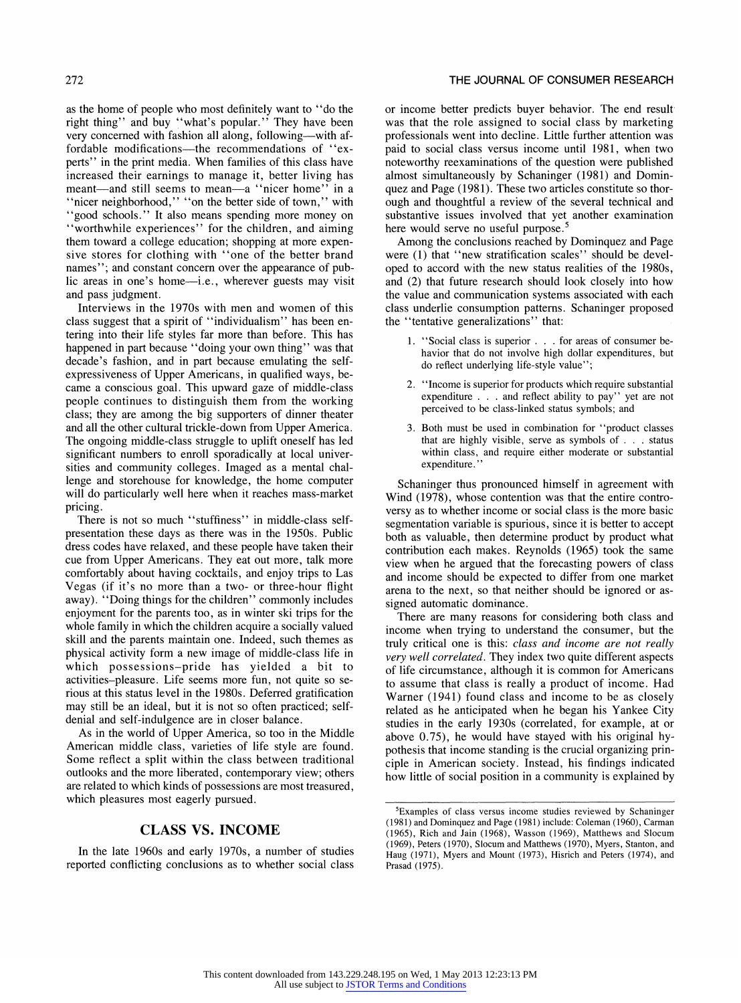**as the home of people who most definitely want to "do the right thing" and buy "what's popular." They have been very concemed with fashion all along, following-with affordable modifications-the recommendations of "experts" in the print media. When families of this class have increased their earnings to manage it, better living has**  meant-and still seems to mean-a "nicer home" in a 'nicer neighborhood," "on the better side of town," with **"good schools." It also means spending more money on "worthwhile experiences" for the children, and aiming them toward a college education; shopping at more expensive stores for clothing with "one of the better brand names"; and constant concern over the appearance of public areas in one's home-i.e., wherever guests may visit and pass judgment.** 

**Interviews in the 1970s with men and women of this class suggest that a spirit of "individualism" has been entering into their life styles far more than before. This has happened in part because "doing your own thing" was that decade's fashion, and in part because emulating the selfexpressiveness of Upper Americans, in qualified ways, became a conscious goal. This upward gaze of middle-class people continues to distinguish them from the working class; they are among the big supporters of dinner theater and all the other cultural trickle-down from Upper America. The ongoing middle-class struggle to uplift oneself has led significant numbers to enroll sporadically at local universities and community colleges. Imaged as a mental challenge and storehouse for knowledge, the home computer will do particularly well here when it reaches mass-market pricing.** 

**There is not so much "stuffiness" in middle-class selfpresentation these days as there was in the 1950s. Public dress codes have relaxed, and these people have taken their cue from Upper Americans. They eat out more, talk more comfortably about having cocktails, and enjoy trips to Las Vegas (if it's no more than a two- or three-hour flight away). "Doing things for the children" commonly includes enjoyment for the parents too, as in winter ski trips for the whole family in which the children acquire a socially valued skill and the parents maintain one. Indeed, such themes as physical activity form a new image of middle-class life in which possessions-pride has yielded a bit to activities-pleasure. Life seems more fun, not quite so serious at this status level in the 1980s. Deferred gratification may still be an ideal, but it is not so often practiced; selfdenial and self-indulgence are in closer balance.** 

**As in the world of Upper America, so too in the Middle American middle class, varieties of life style are found. Some reflect a split within the class between traditional outlooks and the more liberated, contemporary view; others are related to which kinds of possessions are most treasured, which pleasures most eagerly pursued.** 

## **CLASS VS. INCOME**

**In the late 1960s and early 1970s, a number of studies reported conflicting conclusions as to whether social class**  **or income better predicts buyer behavior. The end result was that the role assigned to social class by marketing professionals went into decline. Little further attention was paid to social class versus income until 1981, when two noteworthy reexaminations of the question were published almost simultaneously by Schaninger (1981) and Dominquez and Page (1981). These two articles constitute so thorough and thoughtful a review of the several technical and substantive issues involved that yet another examination here would serve no useful purpose.5** 

**Among the conclusions reached by Dominquez and Page**  were (1) that "new stratification scales" should be devel**oped to accord with the new status realities of the 1980s, and (2) that future research should look closely into how the value and communication systems associated with each class underlie consumption patterns. Schaninger proposed the "tentative generalizations" that:** 

- **1. "Social class is superior . . . for areas of consumer behavior that do not involve high dollar expenditures, but do reflect underlying life-style value";**
- **2. "Income is superior for products which require substantial expenditure . . . arid reflect ability to pay" yet are not perceived to be class-linked status symbols; and**
- **3. Both must be used in combination for "product classes that are highly visible, serve as symbols of . . . status within class, and require either moderate or substantial expenditure. "**

**Schaninger thus pronounced himself in agreement with Wind (1978), whose contention was that the entire controversy as to whether income or social class is the more basic segmentation variable is spurious, since it is better to accept both as valuable, then determine product by product what contribution each makes. Reynolds (1965) took the same view when he argued that the forecasting powers of class and income should be expected to differ from one market arena to the next, so that neither should be ignored or assigned automatic dominance.** 

**There are many reasons for considering both class and income when trying to understand the consumer, but the truly critical one is this: class and income are not really very well correlated. They index two quite different aspects of life circumstance, although it is common for Americans to assume that class is really a product of income. Had Warner (1941) found class and income to be as closely related as he anticipated when he began his Yankee City studies in the early 1930s (correlated, for example, at or above 0.75), he would have stayed with his original hypothesis that income standing is the crucial organizing principle in American society. Instead, his findings indicated how little of social position in a community is explained by** 

**<sup>5</sup>Examples of class versus income studies reviewed by Schaninger (1981) and Dominquez and Page (1981) include: Coleman (1960), Carman (1965), Rich and Jain (1968), Wasson (1969), Matthews and Slocum (1969), Peters (1970), Slocum and Matthews (1970), Myers, Stanton, and Haug (1971), Myers and Mount (1973), Hisrich and Peters (1974), and Prasad (1975).**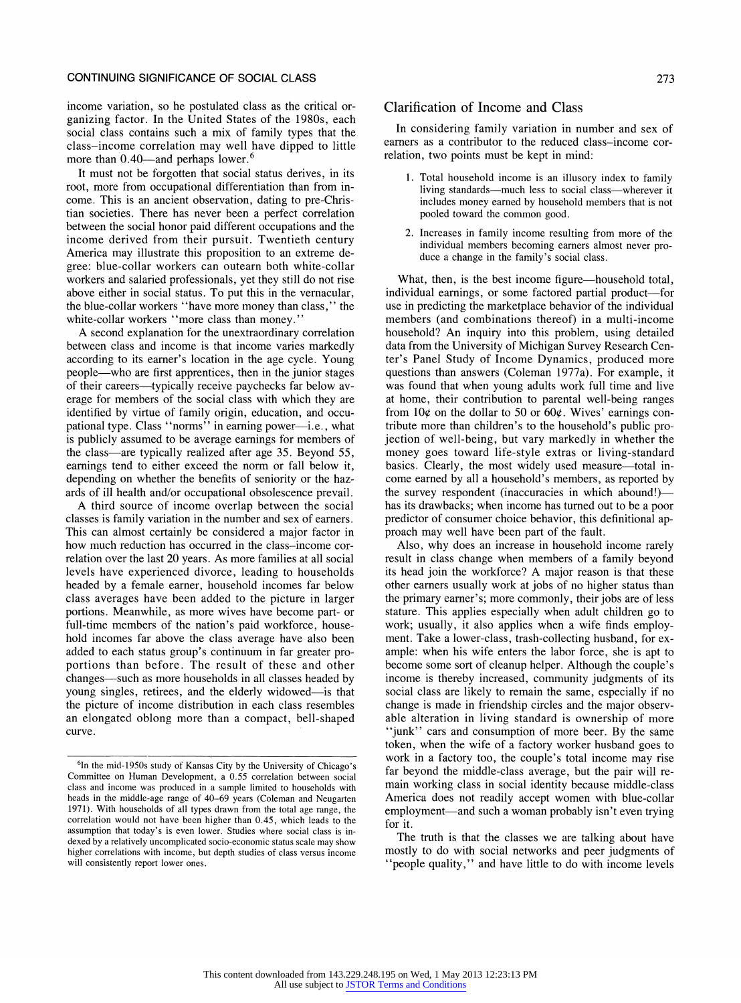**income variation, so he postulated class as the critical organizing factor. In the United States of the 1980s, each social class contains such a mix of family types that the class-income correlation may well have dipped to little**  more than 0.40-and perhaps lower.<sup>6</sup>

**It must not be forgotten that social status derives, in its root, more from occupational differentiation than from income. This is an ancient observation, dating to pre-Christian societies. There has never been a perfect correlation between the social honor paid different occupations and the income derived from their pursuit. Twentieth century America may illustrate this proposition to an extreme degree: blue-collar workers can outearn both white-collar workers and salaried professionals, yet they still do not rise above either in social status. To put this in the vernacular, the blue-collar workers "have more money than class," the**  white-collar workers "more class than money."

**A second explanation for the unextraordinary correlation between class and income is that income varies markedly according to its earner's location in the age cycle. Young people-who are first apprentices, then in the junior stages of their careers-typically receive paychecks far below average for members of the social class with which they are identified by virtue of family origin, education, and occu**pational type. Class "norms" in earning power-i.e., what **is publicly assumed to be average earnings for members of the class-are typically realized after age 35. Beyond 55, earnings tend to either exceed the norm or fall below it, depending on whether the benefits of seniority or the hazards of ill health and/or occupational obsolescence prevail.** 

**A third source of income overlap between the social classes is family variation in the number and sex of earners. This can almost certainly be considered a major factor in how much reduction has occurred in the class-income correlation over the last 20 years. As more families at all social levels have experienced divorce, leading to households headed by a female earner, household incomes far below class averages have been added to the picture in larger portions. Meanwhile, as more wives have become part- or full-time members of the nation's paid workforce, household incomes far above the class average have also been added to each status group's continuum in far greater proportions than before. The result of these and other changes-such as more households in all classes headed by young singles, retirees, and the elderly widowed-is that the picture of income distribution in each class resembles an elongated oblong more than a compact, bell-shaped curve.** 

## **Clarification of Income and Class**

**In considering family variation in number and sex of earners as a contributor to the reduced class-income correlation, two points must be kept in mind:** 

- **1. Total household income is an illusory index to family living standards-much less to social class-wherever it includes money earned by household members that is not pooled toward the common good.**
- **2. Increases in family income resulting from more of the individual members becoming earners almost never produce a change in the family's social class.**

What, then, is the best income figure-household total, individual earnings, or some factored partial product-for **use in predicting the marketplace behavior of the individual members (and combinations thereof) in a multi-income household? An inquiry into this problem, using detailed data from the University of Michigan Survey Research Center's Panel Study of Income Dynamics, produced more questions than answers (Coleman 1977a). For example, it was found that when young adults work full time and live at home, their contribution to parental well-being ranges**  from  $10¢$  on the dollar to 50 or  $60¢$ . Wives' earnings con**tribute more than children's to the household's public projection of well-being, but vary markedly in whether the money goes toward life-style extras or living-standard**  basics. Clearly, the most widely used measure—total in**come earned by all a household's members, as reported by the survey respondent (inaccuracies in which abound!) has its drawbacks; when income has turned out to be a poor predictor of consumer choice behavior, this definitional approach may well have been part of the fault.** 

**Also, why does an increase in household income rarely result in class change when members of a family beyond its head join the workforce? A major reason is that these other earners usually work at jobs of no higher status than the primary earner's; more commonly, their jobs are of less stature. This applies especially when adult children go to work; usually, it also applies when a wife finds employment. Take a lower-class, trash-collecting husband, for example: when his wife enters the labor force, she is apt to become some sort of cleanup helper. Although the couple's income is thereby increased, community judgments of its social class are likely to remain the same, especially if no change is made in friendship circles and the major observable alteration in living standard is ownership of more**  "junk" cars and consumption of more beer. By the same **token, when the wife of a factory worker husband goes to work in a factory too, the couple's total income may rise far beyond the middle-class average, but the pair will remain working class in social identity because middle-class America does not readily accept women with blue-collar**  employment—and such a woman probably isn't even trying **for it.** 

**The truth is that the classes we are talking about have mostly to do with social networks and peer judgments of "people quality," and have little to do with income levels** 

<sup>&</sup>lt;sup>6</sup>In the mid-1950s study of Kansas City by the University of Chicago's **Committee on Human Development, a 0.55 correlation between social class and income was produced in a sample limited to households with heads in the middle-age range of 40-69 years (Coleman and Neugarten 1971). With households of all types drawn from the total age range, the correlation would not have been higher than 0.45, which leads to the assumption that today's is even lower. Studies where social class is indexed by a relatively uncomplicated socio-economic status scale may show higher correlations with income, but depth studies of class versus income will consistently report lower ones.**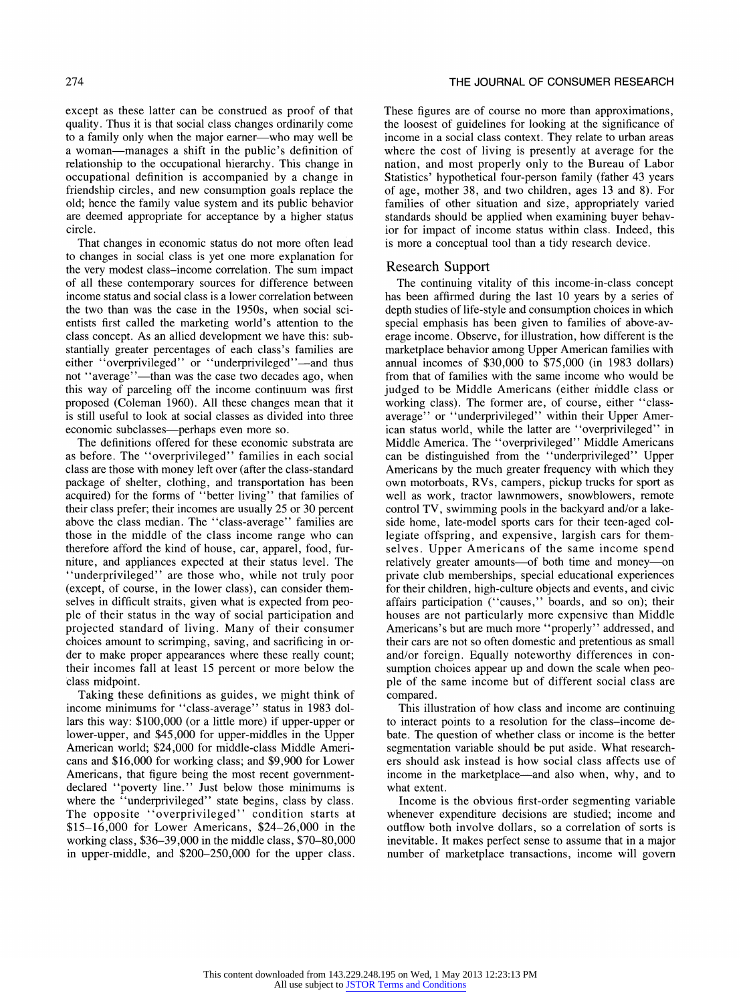**except as these latter can be construed as proof of that quality. Thus it is that social class changes ordinarily come**  to a family only when the major earner—who may well be **a woman-manages a shift in the public's definition of relationship to the occupational hierarchy. This change in occupational definition is accompanied by a change in friendship circles, and new consumption goals replace the old; hence the family value system and its public behavior are deemed appropriate for acceptance by a higher status circle.** 

**That changes in economic status do not more often lead to changes in social class is yet one more explanation for the very modest class-income correlation. The sum impact of all these contemporary sources for difference between income status and social class is a lower correlation between the two than was the case in the 1950s, when social scientists first called the marketing world's attention to the class concept. As an allied development we have this: substantially greater percentages of each class's families are either "overprivileged" or "underprivileged"-and thus**  not "average" -- than was the case two decades ago, when **this way of parceling off the income continuum was first proposed (Coleman 1960). All these changes mean that it is still useful to look at social classes as divided into three economic subclasses-perhaps even more so.** 

**The definitions offered for these economic substrata are as before. The "overprivileged" families in each social class are those with money left over (after the class-standard package of shelter, clothing, and transportation has been acquired) for the forms of "better living" that families of their class prefer; their incomes are usually 25 or 30 percent above the class median. The "class-average" families are those in the middle of the class income range who can therefore afford the kind of house, car, apparel, food, furniture, and appliances expected at their status level. The "underprivileged" are those who, while not truly poor (except, of course, in the lower class), can consider themselves in difficult straits, given what is expected from people of their status in the way of social participation and projected standard of living. Many of their consumer choices amount to scrimping, saving, and sacrificing in order to make proper appearances where these really count; their incomes fall at least 15 percent or more below the class midpoint.** 

**Taking these definitions as guides, we might think of income minimums for "class-average" status in 1983 dollars this way: \$100,000 (or a little more) if upper-upper or lower-upper, and \$45,000 for upper-middles in the Upper American world; \$24,000 for middle-class Middle Americans and \$16,000 for working class; and \$9,900 for Lower Americans, that figure being the most recent governmentdeclared "poverty line." Just below those minimums is**  where the "underprivileged" state begins, class by class. **The opposite "overprivileged" condition starts at \$15-16,000 for Lower Americans, \$24-26,000 in the working class, \$36-39,000 in the middle class, \$70-80,000 in upper-middle, and \$200-250,000 for the upper class.** 

**These figures are of course no more than approximations, the loosest of guidelines for looking at the significance of income in a social class context. They relate to urban areas where the cost of living is presently at average for the nation, and most properly only to the Bureau of Labor Statistics' hypothetical four-person family (father 43 years of age, mother 38, and two children, ages 13 and 8). For families of other situation and size, appropriately varied standards should be applied when examining buyer behavior for impact of income status within class. Indeed, this is more a conceptual tool than a tidy research device.** 

## **Research Support**

**The continuing vitality of this income-in-class concept has been affirmed during the last 10 years by a series of depth studies of life-style and consumption choices in which special emphasis has been given to families of above-average income. Observe, for illustration, how different is the marketplace behavior among Upper American families with annual incomes of \$30,000 to \$75,000 (in 1983 dollars) from that of families with the same income who would be judged to be Middle Americans (either middle class or working class). The former are, of course, either "classaverage" or "underprivileged" within their Upper American status world, while the latter are "overprivileged" in Middle America. The "overprivileged" Middle Americans can be distinguished from the "underprivileged" Upper Americans by the much greater frequency with which they own motorboats, RVs, campers, pickup trucks for sport as well as work, tractor lawnmowers, snowblowers, remote control TV, swimming pools in the backyard and/or a lakeside home, late-model sports cars for their teen-aged collegiate offspring, and expensive, largish cars for themselves. Upper Americans of the same income spend**  relatively greater amounts-of both time and money-on **private club memberships, special educational experiences for their children, high-culture objects and events, and civic affairs participation ("causes," boards, and so on); their houses are not particularly more expensive than Middle Americans's but are much more "properly" addressed, and their cars are not so often domestic and pretentious as small and/or foreign. Equally noteworthy differences in consumption choices appear up and down the scale when people of the same income but of different social class are compared.** 

**This illustration of how class and income are continuing to interact points to a resolution for the class-income debate. The question of whether class or income is the better segmentation variable should be put aside. What researchers should ask instead is how social class affects use of**  income in the marketplace—and also when, why, and to **what extent.** 

**Income is the obvious first-order segmenting variable whenever expenditure decisions are studied; income and outflow both involve dollars, so a correlation of sorts is inevitable. It makes perfect sense to assume that in a major number of marketplace transactions, income will govern**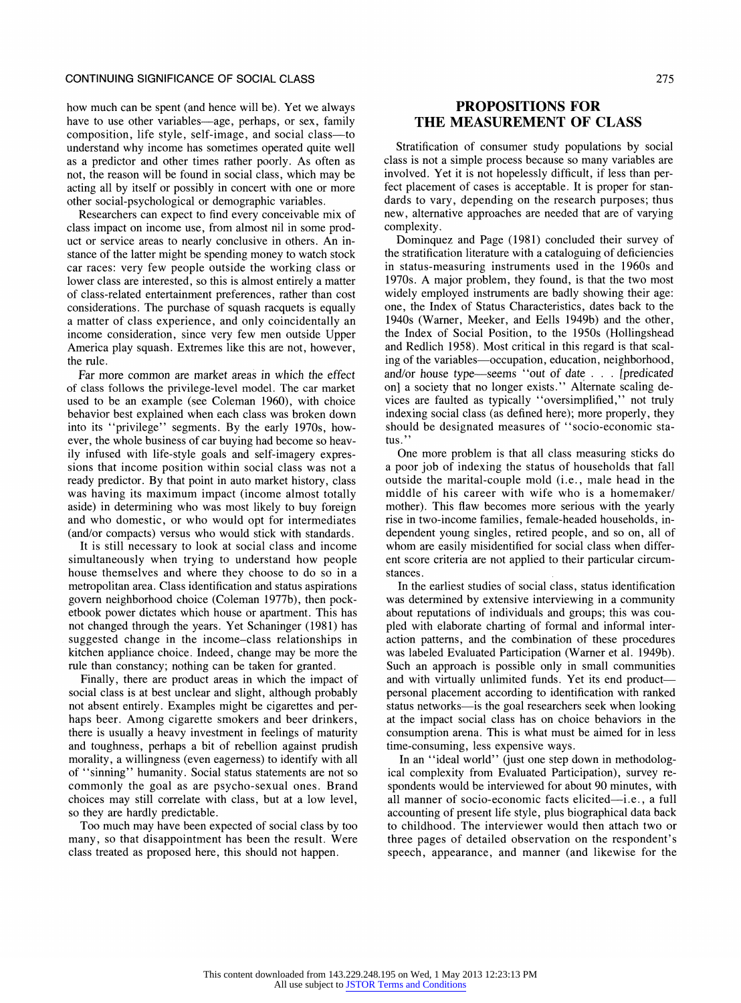**how much can be spent (and hence will be). Yet we always**  have to use other variables-age, perhaps, or sex, family **composition, life style, self-image, and social class-to understand why income has sometimes operated quite well as a predictor and other times rather poorly. As often as not, the reason will be found in social class, which may be acting all by itself or possibly in concert with one or more other social-psychological or demographic variables.** 

**Researchers can expect to find every conceivable mix of class impact on income use, from almost nil in some product or service areas to nearly conclusive in others. An instance of the latter might be spending money to watch stock car races: very few people outside the working class or lower class are interested, so this is almost entirely a matter of class-related entertainment preferences, rather than cost considerations. The purchase of squash racquets is equally a matter of class experience, and only coincidentally an income consideration, since very few men outside Upper America play squash. Extremes like this are not, however, the rule.** 

**Far more common are market areas in which the effect of class follows the privilege-level model. The car market used to be an example (see Coleman 1960), with choice behavior best explained when each class was broken down into its "privilege" segments. By the early 1970s, however, the whole business of car buying had become so heavily infused with life-style goals and self-imagery expressions that income position within social class was not a ready predictor. By that point in auto market history, class was having its maximum impact (income almost totally aside) in determining who was most likely to buy foreign and who domestic, or who would opt for intermediates (and/or compacts) versus who would stick with standards.** 

**It is still necessary to look at social class and income simultaneously when trying to understand how people house themselves and where they choose to do so in a metropolitan area. Class identification and status aspirations govern neighborhood choice (Coleman 1977b), then pocketbook power dictates which house or apartment. This has not changed through the years. Yet Schaninger (1981) has suggested change in the income-class relationships in kitchen appliance choice. Indeed, change may be more the rule than constancy; nothing can be taken for granted.** 

**Finally, there are product areas in which the impact of social class is at best unclear and slight, although probably not absent entirely. Examples might be cigarettes and perhaps beer. Among cigarette smokers and beer drinkers, there is usually a heavy investment in feelings of maturity and toughness, perhaps a bit of rebellion against prudish morality, a willingness (even eagerness) to identify with all of "sinning" humanity. Social status statements are not so commonly the goal as are psycho-sexual ones. Brand choices may still correlate with class, but at a low level, so they are hardly predictable.** 

**Too much may have been expected of social class by too many, so that disappointment has been the result. Were class treated as proposed here, this should not happen.** 

## **PROPOSITIONS FOR THE MEASUREMENT OF CLASS**

**Stratification of consumer study populations by social class is not a simple process because so many variables are involved. Yet it is not hopelessly difficult, if less than perfect placement of cases is acceptable. It is proper for standards to vary, depending on the research purposes; thus new, alternative approaches are needed that are of varying complexity.** 

**Dominquez and Page (1981) concluded their survey of the stratification literature with a cataloguing of deficiencies in status-measuring instruments used in the 1960s and 1970s. A major problem, they found, is that the two most widely employed instruments are badly showing their age: one, the Index of Status Characteristics, dates back to the 1940s (Warner, Meeker, and Eells 1949b) and the other, the Index of Social Position, to the 1950s (Hollingshead and Redlich 1958). Most critical in this regard is that scaling of the variables-occupation, education, neighborhood, and/or house type-seems "out of date . . . [predicated on] a society that no longer exists." Alternate scaling devices are faulted as typically "oversimplified," not truly indexing social class (as defined here); more properly, they should be designated measures of "socio-economic status."** 

**One more problem is that all class measuring sticks do a poor job of indexing the status of households that fall outside the marital-couple mold (i.e., male head in the middle of his career with wife who is a homemaker/ mother). This flaw becomes more serious with the yearly rise in two-income families, female-headed households, independent young singles, retired people, and so on, all of whom are easily misidentified for social class when different score criteria are not applied to their particular circumstances.** 

**In the earliest studies of social class, status identification was determined by extensive interviewing in a community about reputations of individuals and groups; this was coupled with elaborate charting of formal and informal interaction patterns, and the combination of these procedures was labeled Evaluated Participation (Warner et al. 1949b). Such an approach is possible only in small communities and with virtually unlimited funds. Yet its end productpersonal placement according to identification with ranked**  status networks-is the goal researchers seek when looking **at the impact social class has on choice behaviors in the consumption arena. This is what must be aimed for in less time-consuming, less expensive ways.** 

**In an "ideal world" (just one step down in methodological complexity from Evaluated Participation), survey respondents would be interviewed for about 90 minutes, with all manner of socio-economic facts elicited-i.e., a full accounting of present life style, plus biographical data back to childhood. The interviewer would then attach two or three pages of detailed observation on the respondent's speech, appearance, and manner (and likewise for the**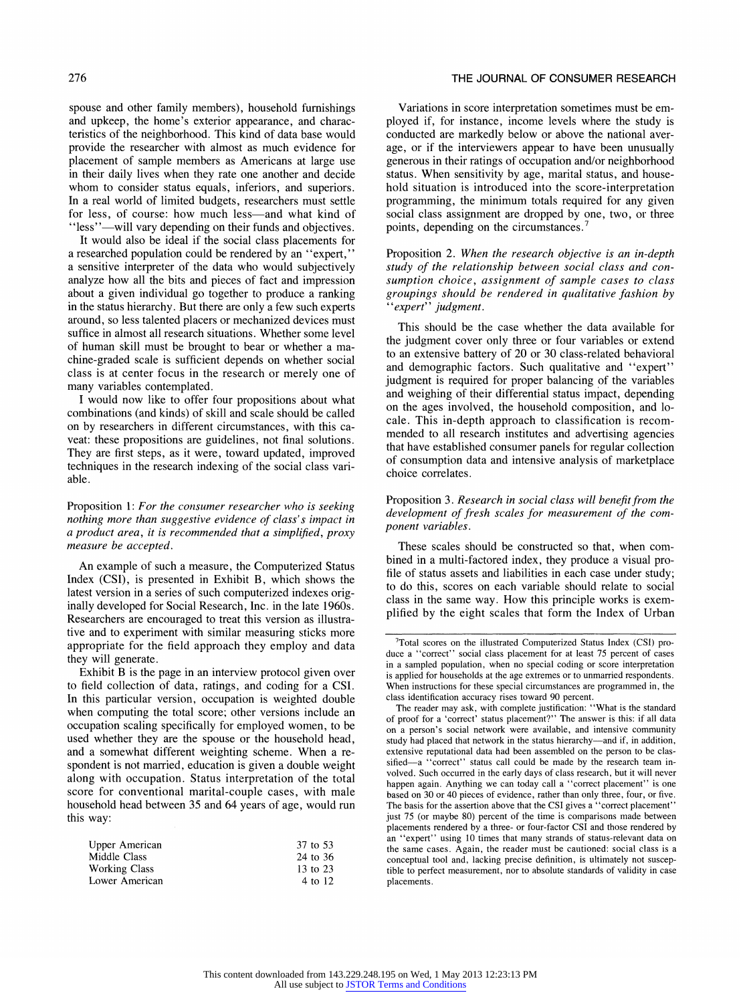#### **spouse and other family members), household furnishings and upkeep, the home's exterior appearance, and characteristics of the neighborhood. This kind of data base would provide the researcher with almost as much evidence for placement of sample members as Americans at large use in their daily lives when they rate one another and decide whom to consider status equals, inferiors, and superiors. In a real world of limited budgets, researchers must settle**  for less, of course: how much less—and what kind of **"less" -will vary depending on their funds and objectives.**

**It would also be ideal if the social class placements for a researched population could be rendered by an "expert," a sensitive interpreter of the data who would subjectively analyze how all the bits and pieces of fact and impression about a given individual go together to produce a ranking in the status hierarchy. But there are only a few such experts around, so less talented placers or mechanized devices must suffice in almost all research situations. Whether some level of human skill must be brought to bear or whether a machine-graded scale is sufficient depends on whether social class is at center focus in the research or merely one of many variables contemplated.** 

**I would now like to offer four propositions about what combinations (and kinds) of skill and scale should be called on by researchers in different circumstances, with this caveat: these propositions are guidelines, not final solutions. They are first steps, as it were, toward updated, improved techniques in the research indexing of the social class variable.** 

#### **Proposition 1: For the consumer researcher who is seeking nothing more than suggestive evidence of class's impact in a product area, it is recommended that a simplified, proxy measure be accepted.**

**An example of such a measure, the Computerized Status Index (CSI), is presented in Exhibit B, which shows the latest version in a series of such computerized indexes originally developed for Social Research, Inc. in the late 1960s. Researchers are encouraged to treat this version as illustrative and to experiment with similar measuring sticks more appropriate for the field approach they employ and data they will generate.** 

**Exhibit B is the page in an interview protocol given over to field collection of data, ratings, and coding for a CSI. In this particular version, occupation is weighted double when computing the total score; other versions include an occupation scaling specifically for employed women, to be used whether they are the spouse or the household head, and a somewhat different weighting scheme. When a respondent is not married, education is given a double weight along with occupation. Status interpretation of the total score for conventional marital-couple cases, with male household head between 35 and 64 years of age, would run this way:** 

| Upper American       | 37 to 53   |
|----------------------|------------|
| Middle Class         | 24 to 36   |
| <b>Working Class</b> | 13 to $23$ |
| Lower American       | 4 to 12    |

#### **276 THE JOURNAL OF CONSUMER RESEARCH**

**Variations in score interpretation sometimes must be employed if, for instance, income levels where the study is conducted are markedly below or above the national average, or if the interviewers appear to have been unusually generous in their ratings of occupation and/or neighborhood status. When sensitivity by age, marital status, and household situation is introduced into the score-interpretation programming, the minimum totals required for any given social class assignment are dropped by one, two, or three <sup>7</sup>points, depending on the circumstances.** 

**Proposition 2. When the research objective is an in-depth study of the relationship between social class and consumption choice, assignment of sample cases to class groupings should be rendered in qualitative fashion by "expert" judgment.** 

**This should be the case whether the data available for the judgment cover only three or four variables or extend to an extensive battery of 20 or 30 class-related behavioral and demographic factors. Such qualitative and "expert" judgment is required for proper balancing of the variables and weighing of their differential status impact, depending on the ages involved, the household composition, and locale. This in-depth approach to classification is recommended to all research institutes and advertising agencies that have established consumer panels for regular collection of consumption data and intensive analysis of marketplace choice correlates.** 

## **Proposition 3. Research in social class will benefit from the development of fresh scales for measurement of the component variables.**

**These scales should be constructed so that, when combined in a multi-factored index, they produce a visual profile of status assets and liabilities in each case under study; to do this, scores on each variable should relate to social class in the same way. How this principle works is exemplified by the eight scales that form the Index of Urban** 

**<sup>7</sup>Total scores on the illustrated Computerized Status Index (CSI) produce a "correct" social class placement for at least 75 percent of cases in a sampled population, when no special coding or score interpretation is applied for households at the age extremes or to unmarried respondents. When instructions for these special circumstances are programmed in, the class identification accuracy rises toward 90 percent.** 

**The reader may ask, with complete justification: "What is the standard of proof for a 'correct' status placement?" The answer is this: if all data on a person's social network were available, and intensive community**  study had placed that network in the status hierarchy-and if, in addition, **extensive reputational data had been assembled on the person to be classified-a "correct" status call could be made by the research team involved. Such occurred in the early days of class research, but it will never happen again. Anything we can today call a "correct placement" is one based on 30 or 40 pieces of evidence, rather than only three, four, or five. The basis for the assertion above that the CSI gives a "correct placement" just 75 (or maybe 80) percent of the time is comparisons made between placements rendered by a three- or four-factor CSI and those rendered by an "expert" using 10 times that many strands of status-relevant data on the same cases. Again, the reader must be cautioned: social class is a conceptual tool and, lacking precise definition, is ultimately not susceptible to perfect measurement, nor to absolute standards of validity in case placements.**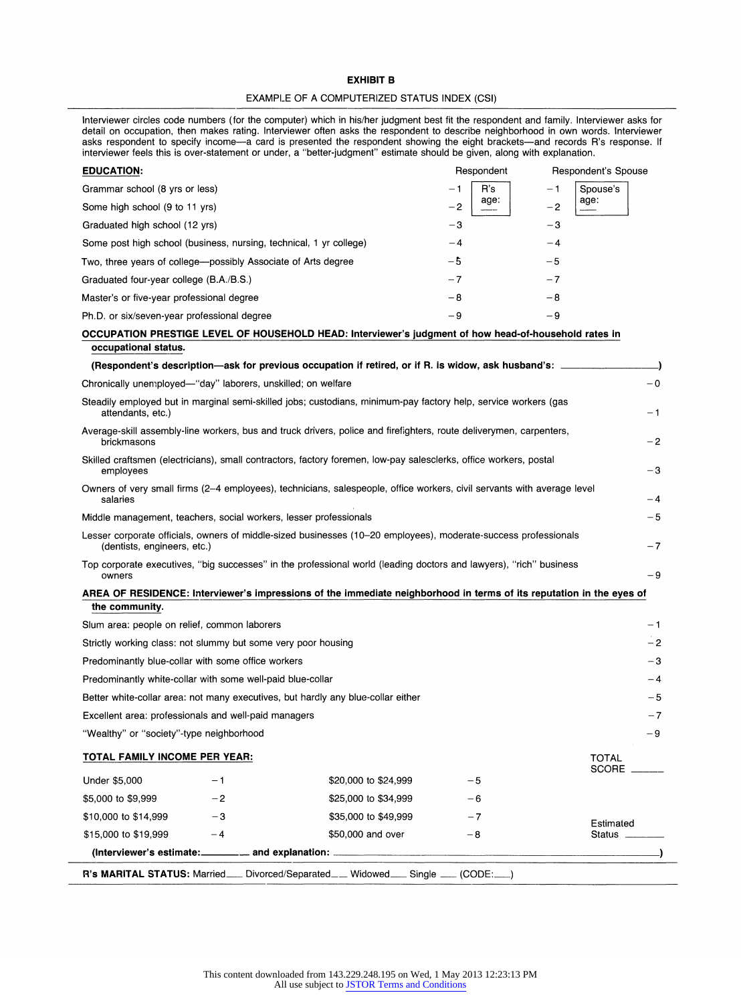#### **EXHIBIT B**

## **EXAMPILE OF A COMPUTERIZED STATUS INDEX (CSI)**

**Interviewer circles code numbers (for the computer) which in his/her judgment best fit the respondent and family. Interviewer asks for detail on occupation, then makes rating. Interviewer often asks the respondent to describe neighborhood in own words. Interviewer asks respondent to specify income-a card is presented the respondent showing the eight brackets-and records R's response. If interviewer feels this is over-statement or under, a "better-judgment" estimate should be given, along with explanation.** 

| <b>EDUCATION:</b>                                                                                                                              |                      | Respondent  |              | Respondent's Spouse          |      |  |  |
|------------------------------------------------------------------------------------------------------------------------------------------------|----------------------|-------------|--------------|------------------------------|------|--|--|
| Grammar school (8 yrs or less)                                                                                                                 |                      | R's<br>$-1$ | $-1$         | Spouse's                     |      |  |  |
| Some high school (9 to 11 yrs)                                                                                                                 |                      | age:<br>-2  | age:<br>$-2$ |                              |      |  |  |
| Graduated high school (12 yrs)                                                                                                                 |                      | -3          | -3           |                              |      |  |  |
| Some post high school (business, nursing, technical, 1 yr college)                                                                             |                      | $-4$        | $-4$         |                              |      |  |  |
| Two, three years of college—possibly Associate of Arts degree                                                                                  |                      | -5          | $-5$         |                              |      |  |  |
| Graduated four-year college (B.A./B.S.)                                                                                                        |                      | $-7$        | $-7$         |                              |      |  |  |
| Master's or five-year professional degree                                                                                                      |                      | -8          | -8           |                              |      |  |  |
| Ph.D. or six/seven-year professional degree                                                                                                    |                      | $-9$        | -9           |                              |      |  |  |
| OCCUPATION PRESTIGE LEVEL OF HOUSEHOLD HEAD: Interviewer's judgment of how head-of-household rates in                                          |                      |             |              |                              |      |  |  |
| occupational status.                                                                                                                           |                      |             |              |                              |      |  |  |
| (Respondent's description—ask for previous occupation if retired, or if R. is widow, ask husband's: $\overline{\phantom{a}}$                   |                      |             |              |                              |      |  |  |
| Chronically unemployed—"day" laborers, unskilled; on welfare<br>- 0                                                                            |                      |             |              |                              |      |  |  |
| Steadily employed but in marginal semi-skilled jobs; custodians, minimum-pay factory help, service workers (gas<br>attendants, etc.)           |                      |             |              |                              | -1   |  |  |
| Average-skill assembly-line workers, bus and truck drivers, police and firefighters, route deliverymen, carpenters,<br>brickmasons             |                      |             |              |                              | -2   |  |  |
| Skilled craftsmen (electricians), small contractors, factory foremen, low-pay salesclerks, office workers, postal<br>employees                 |                      |             |              |                              | -3   |  |  |
| Owners of very small firms (2-4 employees), technicians, salespeople, office workers, civil servants with average level<br>salaries            |                      |             |              |                              | $-4$ |  |  |
| Middle management, teachers, social workers, lesser professionals                                                                              |                      |             |              |                              | -5   |  |  |
| Lesser corporate officials, owners of middle-sized businesses (10-20 employees), moderate-success professionals<br>(dentists, engineers, etc.) |                      |             |              |                              | $-7$ |  |  |
| Top corporate executives, "big successes" in the professional world (leading doctors and lawyers), "rich" business<br>owners                   |                      |             |              |                              | $-9$ |  |  |
| AREA OF RESIDENCE: Interviewer's impressions of the immediate neighborhood in terms of its reputation in the eyes of<br>the community.         |                      |             |              |                              |      |  |  |
| Slum area: people on relief, common laborers                                                                                                   |                      |             |              |                              | $-1$ |  |  |
| Strictly working class: not slummy but some very poor housing                                                                                  |                      |             |              |                              | $-2$ |  |  |
| Predominantly blue-collar with some office workers                                                                                             |                      |             |              |                              | -3   |  |  |
| Predominantly white-collar with some well-paid blue-collar                                                                                     |                      |             |              |                              | $-4$ |  |  |
| Better white-collar area: not many executives, but hardly any blue-collar either                                                               |                      |             |              |                              | -5   |  |  |
| Excellent area: professionals and well-paid managers                                                                                           |                      |             |              |                              | $-7$ |  |  |
| "Wealthy" or "society"-type neighborhood                                                                                                       |                      |             |              |                              | - 9  |  |  |
| TOTAL FAMILY INCOME PER YEAR:                                                                                                                  |                      |             |              | <b>TOTAL</b><br><b>SCORE</b> |      |  |  |
| Under \$5,000<br>- 1                                                                                                                           | \$20,000 to \$24,999 | $-5$        |              |                              |      |  |  |
| \$5,000 to \$9,999<br>$-2$                                                                                                                     | \$25,000 to \$34,999 | -6          |              |                              |      |  |  |
| $-3$<br>\$10,000 to \$14,999                                                                                                                   | \$35,000 to \$49,999 | $-7$        |              | Estimated                    |      |  |  |
| \$15,000 to \$19,999<br>-4                                                                                                                     | \$50,000 and over    | -8          |              | Status <sub>-</sub>          |      |  |  |
| (Interviewer's estimate: _______ and explanation: ______                                                                                       |                      |             |              |                              |      |  |  |
| R's MARITAL STATUS: Married___ Divorced/Separated___ Widowed___ Single ___<br>(CODE:                                                           |                      |             |              |                              |      |  |  |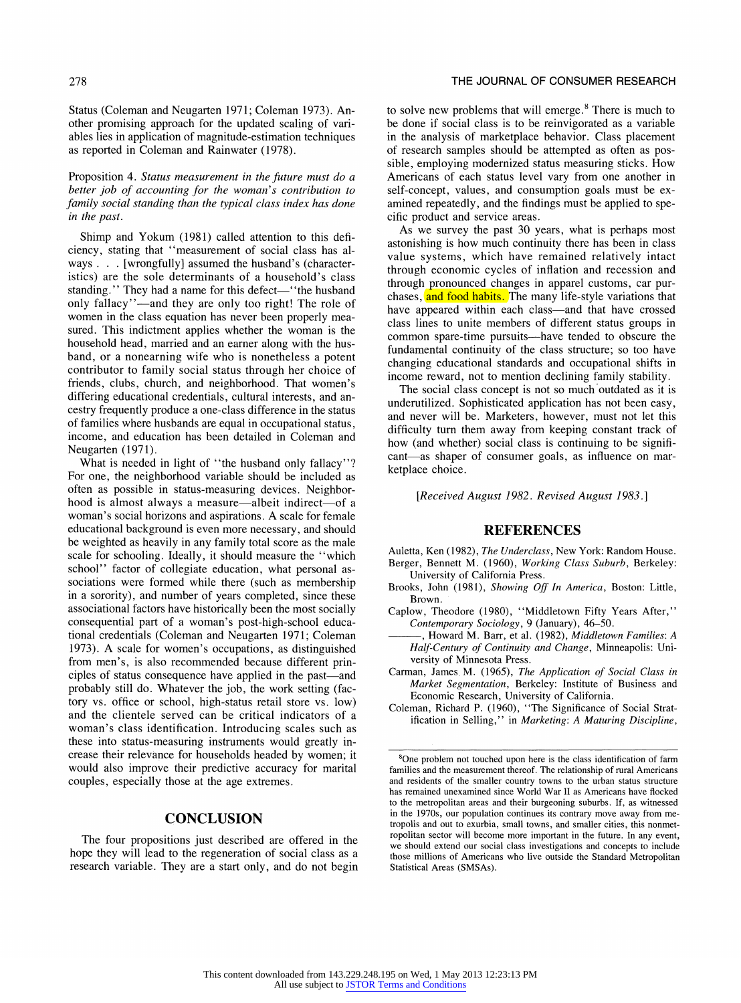**Status (Coleman and Neugarten 1971; Coleman 1973). Another promising approach for the updated scaling of variables lies in application of magnitude-estimation techniques as reported in Coleman and Rainwater (1978).** 

#### **Proposition 4. Status measurement in the future must do a better job of accounting for the woman's contribution to family social standing than the typical class index has done in the past.**

**Shimp and Yokum (1981) called attention to this deficiency, stating that "measurement of social class has always . . . [wrongfully] assumed the husband's (characteristics) are the sole determinants of a household's class**  standing." They had a name for this defect-"the husband **only fallacy"-and they are only too right! The role of women in the class equation has never been properly measured. This indictment applies whether the woman is the household head, married and an earner along with the husband, or a nonearning wife who is nonetheless a potent contributor to family social status through her choice of friends, clubs, church, and neighborhood. That women's differing educational credentials, cultural interests, and ancestry frequently produce a one-class difference in the status of families where husbands are equal in occupational status, income, and education has been detailed in Coleman and Neugarten (1971).** 

**What is needed in light of "the husband only fallacy"? For one, the neighborhood variable should be included as often as possible in status-measuring devices. Neighborhood is almost always a measure-albeit indirect-of a woman's social horizons and aspirations. A scale for female educational background is even more necessary, and should be weighted as heavily in any family total score as the male scale for schooling. Ideally, it should measure the "which school" factor of collegiate education, what personal associations were formed while there (such as membership in a sorority), and number of years completed, since these associational factors have historically been the most socially consequential part of a woman's post-high-school educational credentials (Coleman and Neugarten 1971; Coleman 1973). A scale for women's occupations, as distinguished from men's, is also recommended because different principles of status consequence have applied in the past-and probably still do. Whatever the job, the work setting (factory vs. office or school, high-status retail store vs. low) and the clientele served can be critical indicators of a woman's class identification. Introducing scales such as these into status-measuring instruments would greatly increase their relevance for households headed by women; it would also improve their predictive accuracy for marital couples, especially those at the age extremes.** 

## **CONCLUSION**

**The four propositions just described are offered in the hope they will lead to the regeneration of social class as a research variable. They are a start only, and do not begin**  **to solve new problems that will emerge.8 There is much to be done if social class is to be reinvigorated as a variable in the analysis of marketplace behavior. Class placement of research samples should be attempted as often as possible, employing modernized status measuring sticks. How Americans of each status level vary from one another in self-concept, values, and consumption goals must be examined repeatedly, and the findings must be applied to specific product and service areas.** 

**As we survey the past 30 years, what is perhaps most astonishing is how much continuity there has been in class value systems, which have remained relatively intact through economic cycles of inflation and recession and through pronounced changes in apparel customs, car purchases, and food habits. The many life-style variations that have appeared within each class-and that have crossed class lines to unite members of different status groups in**  common spare-time pursuits-have tended to obscure the **fundamental continuity of the class structure; so too have changing educational standards and occupational shifts in income reward, not to mention declining family stability.** 

**The social class concept is not so much 'outdated as it is underutilized. Sophisticated application has not been easy, and never will be. Marketers, however, must not let this difficulty turn them away from keeping constant track of how (and whether) social class is continuing to be signifi**cant—as shaper of consumer goals, as influence on mar**ketplace choice.** 

**[Received August 1982. Revised August 1983.]** 

## **REFERENCES**

- **Auletta, Ken (1982), The Underclass, New York: Random House. Berger, Bennett M. (1960), Working Class Suburb, Berkeley: University of California Press.**
- **Brooks, John (1981), Showing Off In America, Boston: Little, Brown.**
- **Caplow, Theodore (1980), "Middletown Fifty Years After," Contemporary Sociology, 9 (January), 46-50.**
- **, Howard M. Barr, et al. (1982), Middletown Families: A Half-Century of Continuity and Change, Minneapolis: University of Minnesota Press.**
- **Carman, James M. (1965), The Application of Social Class in Market Segmentation, Berkeley: Institute of Business and Economic Research, University of California.**
- **Coleman, Richard P. (1960), "The Significance of Social Stratification in Selling," in Marketing: A Maturing Discipline,**

**<sup>8</sup>One problem not touched upon here is the class identification of farm families and the measurement thereof. The relationship of rural Americans and residents of the smaller country towns to the urban status structure has remained unexamined since World War 11 as Americans have flocked to the metropolitan areas and their burgeoning suburbs. If, as witnessed in the 1970s, our population continues its contrary move away from metropolis and out to exurbia, small towns, and smaller cities, this nonmetropolitan sector will become more important in the future. In any event, we should extend our social class investigations and concepts to include those millions of Americans who live outside the Standard Metropolitan Statistical Areas (SMSAs).**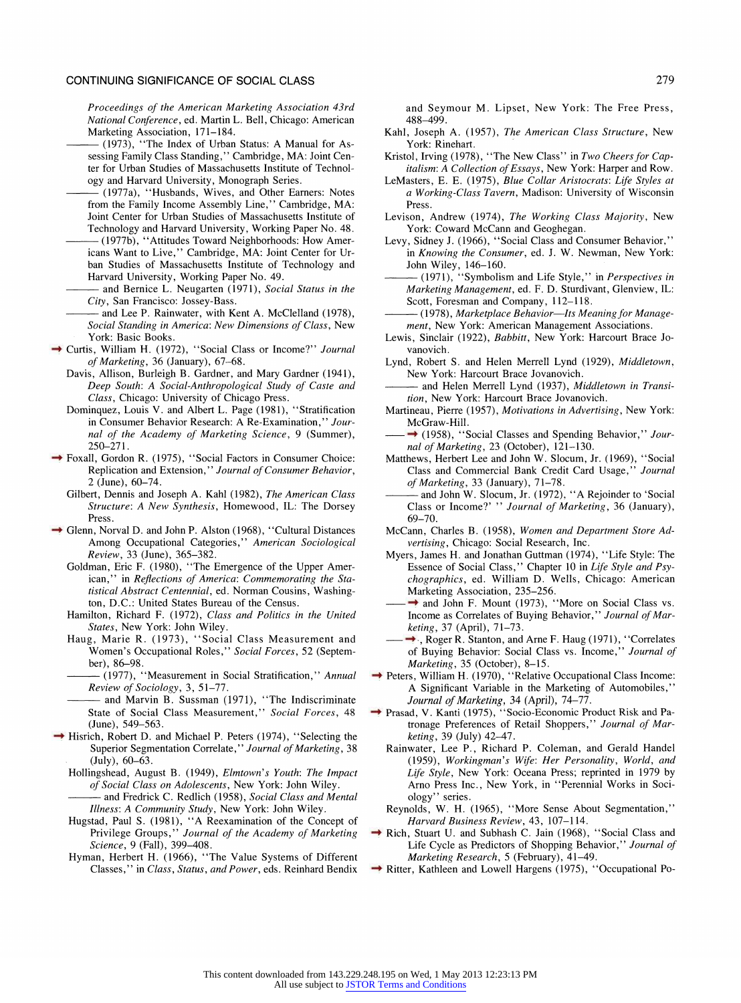**Proceedings of the American Marketing Association 43rd National Conference, ed. Martin L. Bell, Chicago: American Marketing Association, 171-184.** 

- **(1973), "The Index of Urban Status: A Manual for Assessing Family Class Standing," Cambridge, MA: Joint Center for Urban Studies of Massachusetts Institute of Technology and Harvard University, Monograph Series.**
- **(1977a), "Husbands, Wives, and Other Earners: Notes from the Family Income Assembly Line," Cambridge, MA: Joint Center for Urban Studies of Massachusetts Institute of Technology and Harvard University, Working Paper No. 48.**
- **(1977b), "Attitudes Toward Neighborhoods: How Americans Want to Live," Cambridge, MA: Joint Center for Urban Studies of Massachusetts Institute of Technology and Harvard University, Working Paper No. 49.**
- **and Bernice L. Neugarten (1971), Social Status in the City, San Francisco: Jossey-Bass.**
- **and Lee P. Rainwater, with Kent A. McClelland (1978), Social Standing in America: New Dimensions of Class, New York: Basic Books.**
- **Curtis, William H. (1972), "Social Class or Income?" Journal**  of Marketing, 36 (January), 67-68.
	- **Davis, Allison, Burleigh B. Gardner, and Mary Gardner (1941),**  Deep South: A Social-Anthropological Study of Caste and **Class, Chicago: University of Chicago Press.**
	- **Dominquez, Louis V. and Albert L. Page (1981), "Stratification in Consumer Behavior Research: A Re-Examination," Journal of the Academy of Marketing Science, 9 (Summer), 250-271.**
- **Foxall, Gordon R. (1975), "Social Factors in Consumer Choice: Replication and Extension," Journal of Consumer Behavior, 2 (June), 60-74.**
- **Gilbert, Dennis and Joseph A. Kahl (1982), The American Class Structure: A New Synthesis, Homewood, IL: The Dorsey Press.**
- **Glenn, Norval D. and John P. Alston (1968), "Cultural Distances Among Occupational Categories," American Sociological Review, 33 (June), 365-382.** 
	- **Goldman, Eric F. (1980), "The Emergence of the Upper American," in Reflections of America: Commemorating the Statistical Abstract Centennial, ed. Norman Cousins, Washington, D.C.: United States Bureau of the Census.**
	- **Hamilton, Richard F. (1972), Class and Politics in the United States, New York: John Wiley.**
	- **Haug, Marie R. (1973), "Social Class Measurement and Women's Occupational Roles," Social Forces, 52 (September), 86-98.**
	- **(1977), "Measurement in Social Stratification," Annual Review of Sociology, 3, 51-77.**
	- **and Marvin B. Sussman (1971), "The Indiscriminate State of Social Class Measurement," Social Forces, 48 (June), 549-563.**
- **Hisrich, Robert D. and Michael P. Peters (1974), "Selecting the Superior Segmentation Correlate," Journal of Marketing, 38 (July), 60-63.** 
	- **Hollingshead, August B. (1949), Elmtown's Youth: The Impact of Social Class on Adolescents, New York: John Wiley. and Fredrick C. Redlich (1958), Social Class and Mental Illness: A Community Study, New York: John Wiley.**
	- **Hugstad, Paul S. (1981), "A Reexamination of the Concept of Privilege Groups," Journal of the Academy of Marketing Science, 9 (Fall), 399-408.**
	- **Hyman, Herbert H. (1966), "The Value Systems of Different Classes," in Class, Status, and Power, eds. Reinhard Bendix**

**and Seymour M. Lipset, New York: The Free Press, 488-499.** 

- **Kahl, Joseph A. (1957), The American Class Structure, New York: Rinehart.**
- Kristol, Irving (1978), "The New Class" in Two Cheers for Cap**italism: A Collection of Essays, New York: Harper and Row.**
- **LeMasters, E. E. (1975), Blue Collar Aristocrats: Life Stvles at a Working-Class Tavern, Madison: University of Wisconsin Press.**
- **Levison, Andrew (1974), The Working Class Majority, New York: Coward McCann and Geoghegan.**
- **Levy, Sidney J. (1966), "Social Class and Consumer Behavior," in Knowing the Consumer, ed. J. W. Newman, New York: John Wiley, 146-160.**
- **(1971), "Symbolism and Life Style," in Perspectives in Marketing Management, ed. F. D. Sturdivant, Glenview, IL: Scott, Foresman and Company, 112-118.**
- **(1978), Marketplace Behavior-Its Meaning for Management, New York: American Management Associations.**
- **Lewis, Sinclair (1922), Babbitt, New York: Harcourt Brace Jovanovich.**
- **Lynd, Robert S. and Helen Merrell Lynd (1929), Middletown, New York: Harcourt Brace Jovanovich.**
- and Helen Merrell Lynd (1937), Middletown in Transi**tion, New York: Harcourt Brace Jovanovich.**
- **Martineau, Pierre (1957), Motivations in Advertising, New York: McGraw-Hill.**
- **(1958), "Social Classes and Spending Behavior," Journal of Marketing, 23 (October), 121-130.**
- **Matthews, Herbert Lee and John W. Slocum, Jr. (1969), "Social Class and Commercial Bank Credit Card Usage," Journal of Marketing, 33 (January), 71-78.**
- **and John W. Slocum, Jr. (1972), "A Rejoinder to 'Social Class or Income?' " Journal of Marketing, 36 (January), 69-70.**
- **McCann, Charles B. (1958), Women and Department Store Advertising, Chicago: Social Research, Inc.**
- **Myers, James H. and Jonathan Guttman (1974), "Life Style: The Essence of Social Class," Chapter 10 in Life Style and Psychographics, ed. William D. Wells, Chicago: American Marketing Association, 235-256.**
- **→ and John F. Mount (1973), "More on Social Class vs. Income as Correlates of Buying Behavior," Journal of Marketing, 37 (April), 71-73.**
- **, Roger R. Stanton, and Arne F. Haug (1971), "Correlates of Buying Behavior: Social Class vs. Income," Journal of Marketing, 35 (October), 8-15.**
- → Peters, William H. (1970), "Relative Occupational Class Income: **A Significant Variable in the Marketing of Automobiles," Journal of Marketing, 34 (April), 74-77.**
- **Prasad, V. Kanti (1975), "Socio-Economic Product Risk and Patronage Preferences of Retail Shoppers," Journal of Marketing, 39 (July) 42-47.** 
	- **Rainwater, Lee P., Richard P. Coleman, and Gerald Handel (1959), Workingman's Wife: Her Personality, World, and Life Style, New York: Oceana Press; reprinted in 1979 by Arno Press Inc., New York, in "Perennial Works in Sociology" series.**
	- **Reynolds, W. H. (1965), "More Sense About Segmentation," Harvard Business Review, 43, 107-114.**
- **Rich, Stuart U. and Subhash C. Jain (1968), "Social Class and Life Cycle as Predictors of Shopping Behavior," Journal of Marketing Research, 5 (February), 41-49.**
- **→ Ritter, Kathleen and Lowell Hargens (1975), "Occupational Po-**